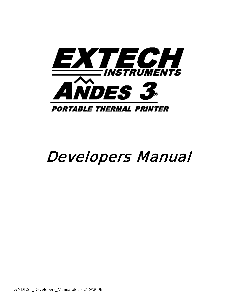

# Developers Manual

ANDES3\_Developers\_Manual.doc - 2/19/2008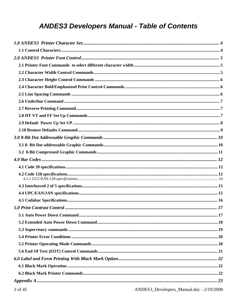# **ANDES3 Developers Manual - Table of Contents**

| 1110000001111100000 |  |
|---------------------|--|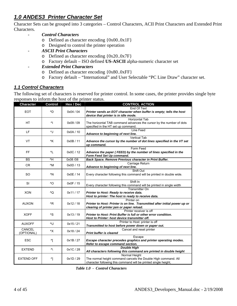# *1.0 ANDES3 Printer Character Set*

Character Sets can be grouped into 3 categories – Control Characters, ACII Print Characters and Extended Print Characters.

- *Control Characters* 
	- $\circ$  Defined as character encoding  $\{0x00..0x1F\}$
	- o Designed to control the printer operation
- *ASCII Print Characters* 
	- o Defined as character encoding {0x20..0x7F}
	- o Factory default ISO defined **US-ASCII** alpha-numeric character set

### - *Extended Print Characters*

- o Defined as character encoding {0x80..0xFF}
- o Factory default "International" and User Selectable "PC Line Draw" character set.

### *1.1 Control Characters*

The following set of characters is reserved for printer control. In some cases, the printer provides single byte responses to inform the host of the printer status.

| <b>Character</b>  | <b>Control</b> | Hex / Dec | <b>CONTROL ACTION</b>                                                                                                  |
|-------------------|----------------|-----------|------------------------------------------------------------------------------------------------------------------------|
|                   |                |           | End Of Text                                                                                                            |
| <b>EOT</b>        | ^D             | 0x04/04   | Printer sends an EOT character when buffer is empty; tells the host<br>device that printer is in idle mode.            |
|                   |                |           | <b>Horizontal Tab</b>                                                                                                  |
| <b>HT</b>         | ۸Į             | 0x09/09   | The horizontal TAB command advances the cursor by the number of dots<br>specified in the HT set up command.            |
| LF                | ^J             | 0x0A / 10 | Line Feed                                                                                                              |
|                   |                |           | Advance to beginning of next line.                                                                                     |
| <b>VT</b>         | ^K             | 0x0B / 11 | <b>Vertical Tab</b><br>Advance the cursor by the number of dot lines specified in the VT set<br>up command.            |
|                   |                |           | Form Feed                                                                                                              |
| FF                | ^L             | 0x0C/12   | Advance the paper (FEED) by the number of lines specified in the<br>Form Feed Set Up command.                          |
| <b>BS</b>         | ^H             | 0x08 /08  | Back Space. Remove Previous character in Print Buffer.                                                                 |
| <b>CR</b>         | $^{\wedge}$ M  | 0x0D / 13 | Carriage Return                                                                                                        |
|                   |                |           | Advance to beginning of next line.                                                                                     |
|                   |                |           | Shift Out                                                                                                              |
| <b>SO</b>         | ^N             | 0x0E/14   | Every character following this command will be printed in double wide.                                                 |
|                   |                |           | Shift In                                                                                                               |
| SI                | ^O             | 0x0F / 15 | Every character following this command will be printed in single width                                                 |
|                   |                |           | <b>Transmitter On</b>                                                                                                  |
| <b>XON</b>        | ^Q             | 0x11/17   | Printer to Host: Ready to receive data.                                                                                |
|                   |                |           | Host to printer: The host is ready to receive data.                                                                    |
|                   | ^R             |           | Printer on                                                                                                             |
| <b>AUXON</b>      |                | 0x12/18   | Printer to Host: Printer is on line. Transmitted after initial power up or<br>clearing of printer jam or paper reload. |
|                   |                |           | Printer receiver is off                                                                                                |
| <b>XOFF</b>       | ^S             | 0x13/19   | Printer to Host: Print Buffer is full or other error condition.                                                        |
|                   |                |           | Host to Printer: host device transmitter off.                                                                          |
| <b>AUXOFF</b>     | ^U             | 0x15/21   | Printer to Host: printer is off                                                                                        |
|                   |                |           | Transmitted to host before power down or paper out.                                                                    |
| CANCEL            | ۸X             | 0x18/24   | Cancel and reset printer                                                                                               |
| (OPTIONAL)        |                |           | <b>Print buffer is cleared</b>                                                                                         |
| <b>ESC</b>        | ^[             | 0x1B/27   | Escape<br>Escape character precedes graphics and printer operating modes.                                              |
|                   |                |           | Refer to escape command section.                                                                                       |
|                   |                |           | <b>Double High</b>                                                                                                     |
| <b>EXTEND</b>     | $\sqrt{ }$     | 0x1C / 28 | All characters following this command are printed in double height                                                     |
|                   |                |           | Normal Height                                                                                                          |
| <b>EXTEND OFF</b> | ^1             | 0x1D/29   | The normal height command cancels the Double High command. All                                                         |

 *Table 1.0 - Control Characters*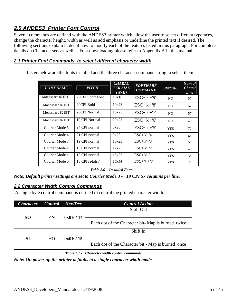# *2.0 ANDES3 Printer Font Control*

Several commands are defined with the ANDES3 printer which allow the user to select different typefaces, change the character height, width as well as add emphasis or underline the printed text if desired. The following sections explain in detail how to modify each of the features listed in this paragraph. For complete details on Character sets as well as Font downloading please refer to Appendix A in this manual.

### *2.1 Printer Font Commands to select different character width*

Listed below are the fonts installed and the three character command string to select them.

| <b>FONT NAME</b> | <b>PITCH</b>          | <b>CHARAC</b><br><b>TER SIZE</b><br>(WxH) | <b>SOFTWARE</b><br><b>COMMAND</b> | DOWNL.         | Num of<br>Chars/<br>Line |
|------------------|-----------------------|-------------------------------------------|-----------------------------------|----------------|--------------------------|
| Monospace 821BT  | 20CPI Short Font      | 10x18                                     | $ESC+'k'+'9'$                     | N <sub>O</sub> | 57                       |
| Monospace 821BT  | 20CPI Bold            | 10x23                                     | $ESC+'k'+'8'$                     | NO.            | 57                       |
| Monospace 821BT  | 20CPI Normal          | 10x23                                     | $ESC+'k'+'7'$                     | N <sub>O</sub> | 57                       |
| Monospace 821BT  | 10 CPI Normal         | 20x23                                     | $ESC+'k'+'6'$                     | NO.            | 40                       |
| Courier Mode 5   | 24 CPI normal         | 8x23                                      | $ESC+'k'+'5'$                     | <b>YES</b>     | 72                       |
| Courier Mode 4   | 21 CPI normal         | 9x23                                      | $ESC+ k'+4'$                      | <b>YES</b>     | 64                       |
| Courier Mode 3   | 19 CPI normal         | 10x23                                     | $ESC+ k'+3'$                      | <b>YES</b>     | 57                       |
| Courier Mode 2   | 16 CPI normal         | 12x23                                     | $ESC+ k'+2'$                      | <b>YES</b>     | 48                       |
| Courier Mode 1   | 12 CPI normal         | 16x23                                     | $ESC+ k'+1'$                      | <b>YES</b>     | 36                       |
| Courier Mode 0   | 13 CPI <i>rotated</i> | 16x14                                     | $ESC+'k'+'0'$                     | <b>YES</b>     | 24                       |

 *Table 2.0 – Installed Fonts* 

*Note: Default printer settings are set to Courier Mode 3 - 19 CPI 57 columns per line.* 

### *2.2 Character Width Control Commands*

A single byte control command is defined to control the printed character width.

| <b>Character</b> | <b>Control</b> | Hex/Dec | <b>Control Action</b>                              |
|------------------|----------------|---------|----------------------------------------------------|
| <b>SO</b>        | $^{\wedge}$ N  | 0x0E/14 | Shift Out                                          |
|                  |                |         | Each dot of the Character bit-Map is burned twice  |
| SI               | $^{\wedge}$    | 0x0F/15 | Shift In                                           |
|                  |                |         | Each dot of the Character bit - Map is burned once |

 *Table 2.1 - Character width control commands* 

*Note: On power up the printer defaults to a single character width mode.*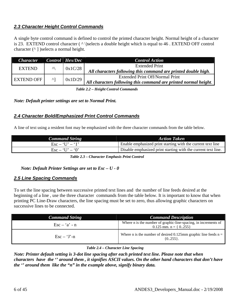### *2.3 Character Height Control Commands*

A single byte control command is defined to control the printed character height. Normal height of a character is 23. EXTEND control character  $(\wedge)$ selects a double height which is equal to 46. EXTEND OFF control character  $(^{\wedge}$  ) selects a normal height.

| <b>Character</b>  |              | Control   Hex/Dec                                              | <b>Control Action</b>                                            |
|-------------------|--------------|----------------------------------------------------------------|------------------------------------------------------------------|
| <b>EXTEND</b>     | $\lambda$    | 0x1C/28                                                        | <b>Extended Print</b>                                            |
|                   |              | All characters following this command are printed double high. |                                                                  |
| <b>EXTEND OFF</b> | $\mathsf{A}$ |                                                                | <b>Extended Print Off/Normal Print</b>                           |
|                   |              | 0x1D/29                                                        | All characters following this command are printed normal height. |

 *Table 2.2 – Height Control Commands* 

*Note: Default printer settings are set to Normal Print.* 

### *2.4 Character Bold/Emphasized Print Control Commands*

A line of text using a resident font may be emphasized with the three character commands from the table below.

| <b>Command String</b>    | <b>Action Taken</b>                                           |
|--------------------------|---------------------------------------------------------------|
| $\text{Esc} - 'U' - '1'$ | Enable emphasized print starting with the current text line   |
| $\text{Esc} - 'U' - '0'$ | Disable emphasized print starting with the current text line. |

 *Table 2.3 – Character Emphasis Print Control* 

### *Note: Default Printer Settings are set to Esc – U - 0*

### *2.5 Line Spacing Commands*

To set the line spacing between successive printed text lines and the number of line feeds desired at the beginning of a line , use the three character commands from the table below. It is important to know that when printing PC Line-Draw characters, the line spacing must be set to zero, thus allowing graphic characters on successive lines to be connected.

| <b>Command String</b>                   | <b>Command Description</b>                                                                    |  |
|-----------------------------------------|-----------------------------------------------------------------------------------------------|--|
| $\text{Esc} - \mathbf{a'} - \mathbf{n}$ | Where n is the number of graphic-line-spacing, in increments of<br>0.125 mm. n = $\{ 0255 \}$ |  |
| $\text{Esc} - \text{`J' - n}$           | Where n is the number of desired 0.125mm graphic line feeds $n =$<br>$\{0255\}.$              |  |

### *Table 2.4 – Character Line Spacing*

*Note: Printer default setting is 3-dot line spacing after each printed text line. Please note that when characters have the '' around them , it signifies ASCII values. On the other hand characters that don't have the '' around them like the "n" in the example above, signify binary data.*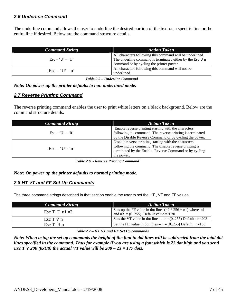### *2.6 Underline Command*

The underline command allows the user to underline the desired portion of the text on a specific line or the entire line if desired. Below are the command structure details.

| <b>Command String</b>                  | <b>Action Taken</b>                                       |  |
|----------------------------------------|-----------------------------------------------------------|--|
|                                        | All characters following this command will be underlined. |  |
| $\text{Esc} - \text{`U'} - \text{`U'}$ | The underline command is terminated either by the Esc U n |  |
|                                        | command or by cycling the printer power.                  |  |
| $\text{Esc} - \text{`U'-'`u'}$         | All characters following this command will not be         |  |
|                                        | underlined.                                               |  |

 *Table 2.5 – Underline Command* 

*Note: On power up the printer defaults to non underlined mode.* 

### *2.7 Reverse Printing Command*

The reverse printing command enables the user to print white letters on a black background. Below are the command structure details.

| <b>Command String</b>                                          | <b>Action Taken</b>                                                                                                                                                                     |  |
|----------------------------------------------------------------|-----------------------------------------------------------------------------------------------------------------------------------------------------------------------------------------|--|
| $\operatorname{Esc} - \operatorname{`U'} - \operatorname{`R'}$ | Enable reverse printing starting with the characters<br>following the command. The reverse printing is terminated<br>by the Disable Reverse Command or by cycling the power.            |  |
| $\text{Esc} - \text{`U'-'n''}$                                 | Disable reverse printing starting with the characters<br>following the command. The disable reverse printing is<br>terminated by the Enable Reverse Command or by cycling<br>the power. |  |

 *Table 2.6 - Reverse Printing Command* 

*Note: On power up the printer defaults to normal printing mode.* 

### *2.8 HT VT and FF Set Up Commands*

The three command strings described in that section enable the user to set the HT , VT and FF values.

| <b>Command String</b>          | <b>Action Taken</b>                                                                                      |
|--------------------------------|----------------------------------------------------------------------------------------------------------|
| $\operatorname{Esc}$ T F n1 n2 | Sets up the FF value in dot lines $(n2 * 256 + n1)$ where n1<br>and $n2 = (0255)$ . Default value = 2030 |
| $\operatorname{Esc}$ T V n     | Sets the VT value in dot lines - $n = (0255)$ Default : $n = 203$                                        |
| $\operatorname{Esc} T$ H n     | Set the HT value in dot lines $- n = (0255)$ Default : n=100                                             |

### *Table 2.7 – HT VT and FF Set Up commands*

*Note: When using the set up commands the height of the font in dot lines will be subtracted from the total dot lines specified in the command. Thus for example if you are using a font which is 23 dot high and you send Esc T V 200 (0xC8) the actual VT value will be 200 – 23 = 177 dots.*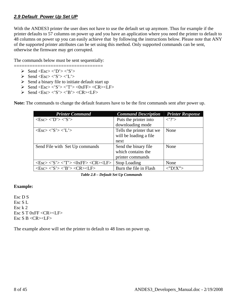### *2.9 Default Power Up Set UP*

With the ANDES3 printer the user does not have to use the default set up anymore. Thus for example if the printer defaults to 57 columns on power up and you have an application where you need the printer to default to 48 columns on power up you can easily achieve that by following the instructions below. Please note that ANY of the supported printer attributes can be set using this method. Only supported commands can be sent, otherwise the firmware may get corrupted.

The commands below must be sent sequentially: ==================================

- $\triangleright$  Send <Esc> <'D'> <'S'>
- $\triangleright$  Send  $\triangle$ Esc $>>$  $\triangle$ 'S $>>$  $\angle$ 'L' $>$
- $\triangleright$  Send a binary file to initiate default start up
- $\triangleright \quad \text{Send} \leq \text{Esc} > \lt; 'S' > \lt' T' > \lt; 0 \text{xFF} > \lt; \text{CR} > \lt LF$
- $\triangleright$  Send <Esc> <'S'> <'B'> <CR><LF>

**Note:** The commands to change the default features have to be the first commands sent after power up.

| <b>Printer Command</b>                                                                                                   | <b>Command Description</b> | <b>Printer Response</b> |
|--------------------------------------------------------------------------------------------------------------------------|----------------------------|-------------------------|
| $\langle Esc \rangle \langle D' \rangle \langle S' \rangle$                                                              | Puts the printer into      | $\langle$ ?'>           |
|                                                                                                                          | downloading mode           |                         |
| $\langle Esc \rangle \langle S' \rangle \langle L' \rangle$                                                              | Tells the printer that we  | None                    |
|                                                                                                                          | will be loading a file     |                         |
|                                                                                                                          | next                       |                         |
| Send File with Set Up commands                                                                                           | Send the binary file       | None                    |
|                                                                                                                          | which contains the         |                         |
|                                                                                                                          | printer commands           |                         |
| $\langle Esc \rangle \langle 'S' \rangle \langle 'T' \rangle \langle 0xFF \rangle \langle CR \rangle \langle LF \rangle$ | Stop Loading               | None                    |
| $\langle Esc \rangle \langle S' \rangle \langle B' \rangle \langle CR \rangle \langle LF \rangle$                        | Burn the file in Flash     | $\langle$ "D!X">        |

 *Table 2.8 – Default Set Up Commands* 

### **Example:**

Esc D S Esc S L Esc k 2 Esc S T 0xFF <CR><LF> Esc S B <CR><LF>

The example above will set the printer to default to 48 lines on power up.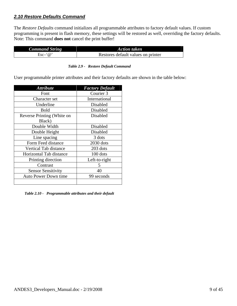### *2.10 Restore Defaults Command*

The *Restore Defaults* command initializes all programmable attributes to factory default values. If custom programming is present in flash memory, these settings will be restored as well, overriding the factory defaults. Note: This command **does not** cancel the print buffer!

| <b>Command String</b> | <b>Action taken</b>                |
|-----------------------|------------------------------------|
| $Esc \hat{\omega}$    | Restores default values on printer |

|  | Table 2.9 - Restore Default Command |
|--|-------------------------------------|
|--|-------------------------------------|

User programmable printer attributes and their factory defaults are shown in the table below:

| <b>Attribute</b>           | <b>Factory Default</b> |
|----------------------------|------------------------|
| Font                       | Courier 3              |
| Character set              | International          |
| Underline                  | Disabled               |
| <b>Bold</b>                | Disabled               |
| Reverse Printing (White on | Disabled               |
| Black)                     |                        |
| Double Width               | Disabled               |
| Double Height              | Disabled               |
| Line spacing               | 3 dots                 |
| Form Feed distance         | 2030 dots              |
| Vertical Tab distance      | 203 dots               |
| Horizontal Tab distance    | 100 dots               |
| Printing direction         | Left-to-right          |
| Contrast                   | 5                      |
| <b>Sensor Sensitivity</b>  | 40                     |
| Auto Power Down time       | 99 seconds             |
|                            |                        |

 *Table 2.10 - Programmable attributes and their default*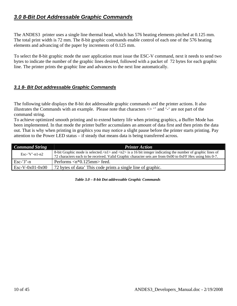# *3.0 8-Bit Dot Addressable Graphic Commands*

The ANDES3 printer uses a single line thermal head, which has 576 heating elements pitched at 0.125 mm. The total print width is 72 mm. The 8-bit graphic commands enable control of each one of the 576 heating elements and advancing of the paper by increments of 0.125 mm.

To select the 8-bit graphic mode the user application must issue the ESC-V command, next it needs to send two bytes to indicate the number of the graphic lines desired, followed with a packet of 72 bytes for each graphic line. The printer prints the graphic line and advances to the next line automatically.

### *3.1 8- Bit Dot addressable Graphic Commands*

The following table displays the 8-bit dot addressable graphic commands and the printer actions. It also illustrates the Commands with an example. Please note that characters  $\langle \rangle$  " and '-' are not part of the command string.

To achieve optimized smooth printing and to extend battery life when printing graphics, a Buffer Mode has been implemented. In that mode the printer buffer accumulates an amount of data first and then prints the data out. That is why when printing in graphics you may notice a slight pause before the printer starts printing. Pay attention to the Power LED status – if steady that means data is being transferred across.

| <b>Command String</b> | <b>Printer Action</b>                                                                                                                                                                                                                                    |
|-----------------------|----------------------------------------------------------------------------------------------------------------------------------------------------------------------------------------------------------------------------------------------------------|
| $Esc$ -'V'-n1-n2      | 8-bit Graphic mode is selected. $\langle n1 \rangle$ and $\langle n2 \rangle$ is a 16 bit integer indicating the number of graphic lines of<br>72 characters each to be received. Valid Graphic character sets are from 0x00 to 0xFF Hex using bits 0-7. |
| $Esc-'J'-n$           | Performs $\langle n^*0.125 \text{mm} \rangle$ feed.                                                                                                                                                                                                      |
| $Esc-V-0x01-0x00$     | 72 bytes of data' This code prints a single line of graphic.                                                                                                                                                                                             |

| Table 3.0 – 8-bit Dot addressable Graphic Commands |
|----------------------------------------------------|
|----------------------------------------------------|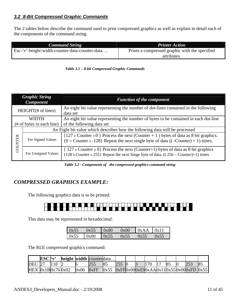### *3.2 8-Bit Compressed Graphic Commands*

The 2 tables below describe the command used to print compressed graphics as well as explain in detail each of the components of the command string.

| <b>Command String</b>                          | <b>Printer Action</b>                                         |
|------------------------------------------------|---------------------------------------------------------------|
| Esc-'v'-height-width-counter-data-counter-data | Prints a compressed graphic with the specified<br>attributes. |



|                            | <b>Graphic String</b><br><b>Component</b> | <b>Function of the component</b>                                                                                                                                                          |
|----------------------------|-------------------------------------------|-------------------------------------------------------------------------------------------------------------------------------------------------------------------------------------------|
| $HEIGHT(\# of lines)$      |                                           | An eight bit value representing the number of dot-lines contained in the following<br>data set                                                                                            |
| <b>WIDTH</b>               |                                           | An eight bit value representing the number of bytes to be contained in each dot-line                                                                                                      |
| $#$ of bytes in each line) |                                           | of the following data set                                                                                                                                                                 |
|                            |                                           | An Eight bit value which describes how the following data will be processed                                                                                                               |
| COUNTER                    | For Signed Values                         | ${127 \geq$ Counter $\geq$ Process the next (Counter + 1) bytes of data as 8 bit graphics.<br>${0 >$ Counter $\ge$ -128} Repeat the next single byte of data ((-Counter) + 1) times.      |
|                            | For Unsigned Values                       | $\{ 127 \geq 127 \geq 0 \}$ Process the next (Counter+1) bytes of data as 8 bit graphics<br>${128 \geq$ Counter $\leq$ 255} Repeat the next Singe byte of data, ((256 – Counter)+1) times |

 *Table 3.2 - Components of the compressed graphics command string* 

# *COMPRESSED GRAPHICS EXAMPLE:*

The following graphics data is to be printed:



This data may be represented in hexadecimal:

| 0x55 | 0x55 | $\log 00$ | 0x00 | $\vert 0xAA \vert 0x11$ |      |
|------|------|-----------|------|-------------------------|------|
| 0x55 | 0x00 | 0x55      | 0x55 | 0x55                    | 0x55 |

The RLE compressed graphics command:

|                           | ESC'v' | height width counterdata |      |      |      |  |     |                |                                       |     |
|---------------------------|--------|--------------------------|------|------|------|--|-----|----------------|---------------------------------------|-----|
| <b>DEC</b> 27             |        |                          |      |      |      |  | 170 | 8 <sup>2</sup> | 253                                   | 8.5 |
| $HEX$   0x1B  0x76   0x02 |        |                          | 0x06 | 0xFF | 0x55 |  |     |                | 0xFF0x000x030xAA0x110x550x000xFD0x551 |     |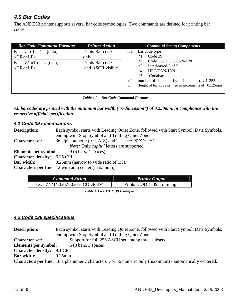# *4.0 Bar Codes*

The ANDES3 printer supports several bar code symbologies. Two commands are defined for printing bar codes.

| <b>Bar Code Command Formats</b>                                                              | <b>Printer Action</b>                                           | <b>Command String Components</b>                                                                                                                                                                                                                                        |
|----------------------------------------------------------------------------------------------|-----------------------------------------------------------------|-------------------------------------------------------------------------------------------------------------------------------------------------------------------------------------------------------------------------------------------------------------------------|
| Esc- $z'$ -n1-n2-L-[data]<br>$<$ CR> $<$ LF><br>Esc- $Z'$ -n1-n2-L-[data]<br>$<$ CR> $<$ LF> | Prints Bar code<br>only<br>Prints Bar code<br>and ASCII visible | bar code type<br>n <sub>1</sub><br>Code 39<br>Code 128, UCC/EAN-128<br>$\lq\lq\lq\lq$<br>Interleaved 2 of 5<br>4'<br>UPC/EAN/JAN<br>$\cdot$ 5'<br>Codabar<br>number of character bytes in data array 1-255<br>n2<br>Height of bar code printed in increments of 0.125mm |

| Table 4.0 – Bar Code Command Formats |  |
|--------------------------------------|--|
|--------------------------------------|--|

*All barcodes are printed with the minimum bar width ("x-dimension") of 0.250mm, in compliance with the respective official specification.* 

### *4.1 Code 39 specifications*

| <b>Description:</b>                | Each symbol starts with Leading Quiet Zone, followed with Start Symbol, Data Symbols, |
|------------------------------------|---------------------------------------------------------------------------------------|
|                                    | ending with Stop Symbol and Trailing Quiet Zone.                                      |
| <b>Character set:</b>              | 36 alphanumeric (0-9, A-Z) and '-' 'space' '\$' '/' '+' '%'                           |
|                                    | <i>Note:</i> Only <i>capital</i> letters are supported.                               |
| Elements per symbol:               | $9(5 \text{ bars}, 4 \text{ spaces})$                                                 |
| <b>Character density:</b> 6.25 CPI |                                                                                       |
| <b>Bar width:</b>                  | $0.25$ mm (narrow to wide ratio of 1:3).                                              |
|                                    | <b>Characters per line:</b> 12 with auto center (maximum).                            |

| <b>Command String</b>            | <b>Printer Output</b>     |
|----------------------------------|---------------------------|
| Esc-'Z'-'1'-0x07- 0x0a-'CODE-39' | Prints CODE -39, 1mm high |

 *Table 4.1 – CODE 39 Example* 

### *4.2 Code 128 specifications*

| <b>Description:</b>               | Each symbol starts with Leading Quiet Zone, followed with Start Symbol, Data Symbols,                          |  |  |  |  |  |
|-----------------------------------|----------------------------------------------------------------------------------------------------------------|--|--|--|--|--|
|                                   | ending with Stop Symbol and Trailing Quiet Zone.                                                               |  |  |  |  |  |
| <b>Character set:</b>             | Support for full 256 ASCII set among three subsets.                                                            |  |  |  |  |  |
| <b>Elements per symbol:</b>       | $6(3 \text{ bars}, 3 \text{ spaces})$                                                                          |  |  |  |  |  |
| <b>Character density:</b> 9.1 CPI |                                                                                                                |  |  |  |  |  |
| <b>Bar width:</b>                 | $0.25$ mm                                                                                                      |  |  |  |  |  |
|                                   | <b>Characters per line:</b> 18 alphanumeric characters, or 36 numeric only (maximum) - automatically centered. |  |  |  |  |  |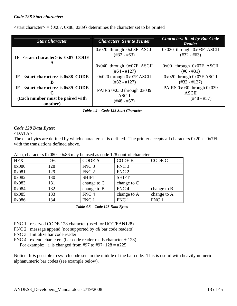### *Code 128 Start character:*

 $\langle$ start character $\rangle$  = {0x87, 0x88, 0x89} determines the character set to be printed

| <b>Start Character</b>                                                                    | <b>Characters Sent to Printer</b>                        | <b>Characters Read by Bar Code</b><br>Reader                 |
|-------------------------------------------------------------------------------------------|----------------------------------------------------------|--------------------------------------------------------------|
| $\le$ start character> is 0x87 CODE<br>IF                                                 | 0x020 through 0x03F ASCII<br>$(\#32 - \#63)$             | 0x020 through 0x03F ASCII<br>$(\#32 - \#63)$                 |
| A                                                                                         | $0x040$ through $0x07F$ ASCII<br>$(\#64 - \#127)$        | $0x00$ through $0x07F$ ASCII<br>$(\text{\#}0 - \text{\#}31)$ |
| IF<br>$\le$ start character> is 0x88 CODE<br>ĸ                                            | $0x020$ through $0x07F$ ASCII<br>$(\#32 - \#127)$        | 0x020 through 0x07F ASCII<br>$(\#32 - \#127)$                |
| IF<br>$\le$ start character> is 0x89 CODE<br>(Each number must be paired with<br>another) | PAIRS 0x030 through 0x039<br><b>ASCII</b><br>(#48 - #57) | PAIRS 0x030 through 0x039<br><b>ASCII</b><br>$(+48 - #57)$   |

 *Table 4.2 – Code 128 Start Character* 

### *Code 128 Data Bytes:*

<DATA>

The data bytes are defined by which character set is defined. The printer accepts all characters 0x20h - 0x7Fh with the translations defined above.

| $T_{\rm HSO}$ , characters 0x000 – 0x00 may be ased as coue 120 control characters. |            |                  |                  |             |  |  |
|-------------------------------------------------------------------------------------|------------|------------------|------------------|-------------|--|--|
| <b>HEX</b>                                                                          | <b>DEC</b> | <b>CODE A</b>    | <b>CODE B</b>    | CODE C      |  |  |
| 0x080                                                                               | 128        | FNC <sub>3</sub> | FNC <sub>3</sub> |             |  |  |
| 0x081                                                                               | 129        | FNC <sub>2</sub> | FNC <sub>2</sub> |             |  |  |
| 0x082                                                                               | 130        | <b>SHIFT</b>     | <b>SHIFT</b>     |             |  |  |
| 0x083                                                                               | 131        | change to $C$    | change to $C$    |             |  |  |
| 0x084                                                                               | 132        | change to B      | FNC <sub>4</sub> | change to B |  |  |
| 0x085                                                                               | 133        | FNC <sub>4</sub> | change to A      | change to A |  |  |
| 0x086                                                                               | 134        | FNC 1            | FNC 1            | FNC 1       |  |  |

Also, characters  $0x080 - 0x86$  may be used as code 128 control characters:

 *Table 4.3 – Code 128 Data Bytes* 

FNC 1: reserved CODE 128 character (used for UCC/EAN128)

- FNC 2: message append (not supported by *all* bar code readers)
- FNC 3: Initialize bar code reader
- FNC 4: extend characters (bar code reader reads character + 128)

For example: 'a' is changed from #97 to #97+128 = #225

Notice: It *is* possible to switch code sets in the middle of the bar code. This is useful with heavily numeric alphanumeric bar codes (see example below).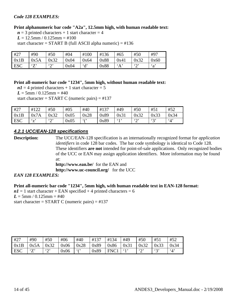### *Code 128 EXAMPLES:*

### **Print alphanumeric bar code "A2a", 12.5mm high, with human readable text:**

 $n = 3$  printed characters + 1 start character = 4

 $L = 12.5$ mm /  $0.125$ mm = #100

start character =  $START B$  (full ASCII alpha numeric) =  $\#136$ 

| #27        | #90                | #50                     | #04  | #100         | #136 | #65  | #50                     | #97          |
|------------|--------------------|-------------------------|------|--------------|------|------|-------------------------|--------------|
| 0x1B       | 0x5A               | 0x32                    | 0x04 | 0x64         | 0x88 | 0x41 | 0x32                    | 0x60         |
| <b>ESC</b> | $\mathbf{57}$<br>∠ | $\mathfrak{c}\cap$<br>∼ | 0x04 | $\mathbf{d}$ | 0x88 | A    | $\mathfrak{c}\cap$<br>∼ | $\mathbf{a}$ |

### **Print all-numeric bar code "1234", 5mm high, without human readable text:**

 $nI = 4$  printed characters + 1 start character = 5  $L = 5$ mm / 0.125mm = #40

start character =  $START C$  (numeric pairs) =  $\#137$ 

| #27        | #122        | #50           | #05  | #40        | #137 | #49  | #50           | #51      | #52           |
|------------|-------------|---------------|------|------------|------|------|---------------|----------|---------------|
| 0x1B       | 0x7A        | 0x32          | 0x05 | 0x28       | 0x89 | 0x31 | 0x32          | 0x33     | 0x34          |
| <b>ESC</b> | $\sim$<br>▵ | $\omega$<br>∼ | 0x05 | $\epsilon$ | 0x89 | 61,  | $\omega$<br>∠ | 42,<br>ັ | $\mathcal{A}$ |

### *4.2.1 UCC/EAN-128 specifications*

**Description:** The UCC/EAN-128 specification is an internationally recognized format for *application identifiers* in code 128 bar codes. The bar code symbology is identical to Code 128. These identifiers **are not** intended for point-of-sale applications. Only recognized bodies of the UCC or EAN may assign application identifiers. More information may be found at:

**http://www.ean.be/** for the EAN and **http://www.uc-council.org/** for the UCC

### *EAN 128 EXAMPLES:*

### **Print all-numeric bar code "1234", 5mm high, with human readable text in EAN-128 format:**

 $nI = 1$  start character + EAN specified + 4 printed characters = 6  $L = 5$ mm / 0.125mm = #40 start character =  $START C$  (numeric pairs) =  $\#137$ 

| #27  | #90     | #50           | #06  | #40  | #137 | 34<br>#1 | #49  | #50           | #51      | #52                    |
|------|---------|---------------|------|------|------|----------|------|---------------|----------|------------------------|
| 0x1B | 0x5A    | 0x32          | 0x06 | 0x28 | 0x89 | 0x86     | 0x31 | 0x32          | 0x33     | 0x34                   |
| ESC  | 57<br>∠ | $\omega$<br>∼ | 0x06 | 6(1) | 0x89 | FNC1     | 61   | $\omega$<br>∽ | 42:<br>ັ | $\cdot$ <sub>4</sub> , |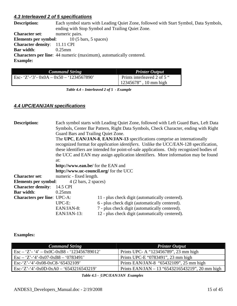### *4.3 Interleaved 2 of 5 specifications*

| <b>Description:</b>                 | Each symbol starts with Leading Quiet Zone, followed with Start Symbol, Data Symbols, |  |  |  |  |  |
|-------------------------------------|---------------------------------------------------------------------------------------|--|--|--|--|--|
|                                     | ending with Stop Symbol and Trailing Quiet Zone.                                      |  |  |  |  |  |
| <b>Character set:</b>               | numeric pairs.                                                                        |  |  |  |  |  |
|                                     | <b>Elements per symbol:</b> 10 (5 bars, 5 spaces)                                     |  |  |  |  |  |
| <b>Character density:</b> 11.11 CPI |                                                                                       |  |  |  |  |  |
| <b>Bar width:</b>                   | $0.25$ mm                                                                             |  |  |  |  |  |
|                                     | <b>Characters per line:</b> 44 numeric (maximum), automatically centered.             |  |  |  |  |  |
| <b>Example:</b>                     |                                                                                       |  |  |  |  |  |
|                                     |                                                                                       |  |  |  |  |  |

| <b>Command String</b>                     | <b>Printer Output</b>       |
|-------------------------------------------|-----------------------------|
| Esc- 'Z'-'3'- $0x0A - 0x50 - 1234567890'$ | Prints interleaved 2 of 5 " |
|                                           | $12345678$ ", 10 mm high    |

 *Table 4.4 – Interleaved 2 of 5 - Example* 

### *4.4 UPC/EAN/JAN specifications*

| <b>Description:</b>                | Each symbol starts with Leading Quiet Zone, followed with Left Guard Bars, Left Data<br>Symbols, Center Bar Pattern, Right Data Symbols, Check Character, ending with Right<br>Guard Bars and Trailing Quiet Zone.<br>The UPC, EAN/JAN-8, EAN/JAN-13 specifications comprise an internationally<br>recognized format for <i>application identifiers</i> . Unlike the UCC/EAN-128 specification,<br>these identifiers are intended for point-of-sale applications. Only recognized bodies of<br>the UCC and EAN may assign application identifiers. More information may be found<br>at:<br>http://www.ean.be/ for the EAN and |                                                 |  |  |  |
|------------------------------------|-------------------------------------------------------------------------------------------------------------------------------------------------------------------------------------------------------------------------------------------------------------------------------------------------------------------------------------------------------------------------------------------------------------------------------------------------------------------------------------------------------------------------------------------------------------------------------------------------------------------------------|-------------------------------------------------|--|--|--|
|                                    | http://www.uc-council.org/ for the UCC                                                                                                                                                                                                                                                                                                                                                                                                                                                                                                                                                                                        |                                                 |  |  |  |
| <b>Character set:</b>              | numeric - fixed length.                                                                                                                                                                                                                                                                                                                                                                                                                                                                                                                                                                                                       |                                                 |  |  |  |
| <b>Elements per symbol:</b>        | $4(2 \text{ bars}, 2 \text{ spaces})$                                                                                                                                                                                                                                                                                                                                                                                                                                                                                                                                                                                         |                                                 |  |  |  |
| <b>Character density:</b>          | 14.5 CPI                                                                                                                                                                                                                                                                                                                                                                                                                                                                                                                                                                                                                      |                                                 |  |  |  |
| <b>Bar width:</b>                  | $0.25$ mm                                                                                                                                                                                                                                                                                                                                                                                                                                                                                                                                                                                                                     |                                                 |  |  |  |
| <b>Characters per line: UPC-A:</b> |                                                                                                                                                                                                                                                                                                                                                                                                                                                                                                                                                                                                                               | 11 - plus check digit (automatically centered). |  |  |  |
|                                    | UPC-E:                                                                                                                                                                                                                                                                                                                                                                                                                                                                                                                                                                                                                        | 6 - plus check digit (automatically centered).  |  |  |  |
|                                    | EAN/JAN-8:                                                                                                                                                                                                                                                                                                                                                                                                                                                                                                                                                                                                                    | 7 - plus check digit (automatically centered).  |  |  |  |
|                                    | EAN/JAN-13:                                                                                                                                                                                                                                                                                                                                                                                                                                                                                                                                                                                                                   | 12 - plus check digit (automatically centered). |  |  |  |

### **Examples:**

| <b>Command String</b>                                   | <b>Printer Output</b>                           |
|---------------------------------------------------------|-------------------------------------------------|
| $\text{Esc} - 'Z' - '4' - 0x0C - 0xB8 - '123456789012'$ | Prints UPC- A "123456789", 23 mm high           |
| $\text{Esc} - 'Z' - '4' - 0x07 - 0xB8 - '0783491'$      | Prints UPC-E "0783491", 23 mm high              |
| Esc- $Z$ '-'4'-0x08-0xC8-'65432109'                     | Prints EAN/JAN-8 "65432109", 25 mm high         |
| Esc-'Z'-'4'-0x0D-0xA0 - '6543216543219'                 | Prints EAN/JAN – 13 "6543216543219", 20 mm high |

 *Table 4.5 - UPC/EAN/JAN Examples*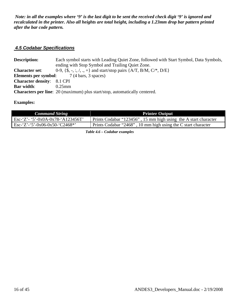*Note: in all the examples where '9' is the last digit to be sent the received check digit '9' is ignored and recalculated in the printer. Also all heights are total height, including a 1.23mm drop bar pattern printed after the bar code pattern.* 

### *4.5 Codabar Specifications*

**Description:** Each symbol starts with Leading Quiet Zone, followed with Start Symbol, Data Symbols, ending with Stop Symbol and Trailing Quiet Zone. **Character set:** 0-9,  $\{ \hat{\$}, \, \cdot, \, \colon, \, \langle, \, \cdot, \, + \}$  and start/stop pairs  $\{ A/T, B/M, C^{*}, D/E \}$ **Elements per symbol:** 7 (4 bars, 3 spaces) **Character density**: 8.1 CPI **Bar width**: 0.25mm **Characters per line**: 20 (maximum) plus start/stop, automatically centered.

### **Examples:**

| <b>Command String</b>                                        | <b>Printer Output</b>                                           |
|--------------------------------------------------------------|-----------------------------------------------------------------|
| Esc-'Z'- '5'-0x0A-0x78-'A123456T'                            | Prints Codabar "123456", 15 mm high using the A start character |
| $\text{Esc-'}\text{Z'}-\text{--}5'-0x06-0x50-\text{'}C2468*$ | Prints Codabar "2468", 10 mm high using the C start character   |

 *Table 4.6 – Codabar examples*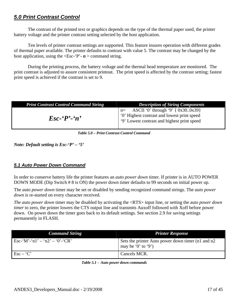# *5.0 Print Contrast Control*

The contrast of the printed text or graphics depends on the type of the thermal paper used, the printer battery voltage and the printer contrast setting selected by the host application.

Ten levels of printer contrast settings are supported. This feature insures operation with different grades of thermal paper available. The printer defaults to contrast with value 5. The contrast may be changed by the host application, using the  $\langle \text{Esc-} \cdot P \rangle - n \rangle$  command string.

During the printing process, the battery voltage and the thermal head temperature are monitored. The print contrast is adjusted to assure consistent printout. The print speed is affected by the contrast setting; fastest print speed is achieved if the contrast is set to 9.

| <b>Print Contrast Control Command String</b> | <b>Description of String Components</b>                                                                                                  |
|----------------------------------------------|------------------------------------------------------------------------------------------------------------------------------------------|
| $\mathbf{E}$ sc-'P'-'n'                      | ASCII '0' through '9' { 0x300x39}<br>$n=$<br>"O' Highest contrast and lowest print speed"<br>'9' Lowest contrast and highest print speed |

 *Table 5.0 – Print Contrast Control Command* 

*Note: Default setting is Esc-'P' – '5'* 

### *5.1 Auto Power Down Command*

In order to conserve battery life the printer features an *auto power down* timer. If printer is in AUTO POWER DOWN MODE (Dip Switch # 8 is ON) the power down timer defaults to 99 seconds on initial power up.

The *auto power down* timer may be set or disabled by sending recognized command strings. The *auto power down* is re-started on every character received.

*The auto power down* timer may be disabled by activating the <RTS> input line, or setting the auto *power down timer* to zero, the printer lowers the CTS output line and transmits Auxoff followed with Xoff before power down. On power down the timer goes back to its default settings. See section 2.9 for saving settings permanently in FLASH.

| <b>Command String</b>            | <b>Printer Response</b>                                                 |
|----------------------------------|-------------------------------------------------------------------------|
| Esc-'M'-'n1' – 'n2' – '0'-'CR'   | Sets the printer Auto power down timer (n1 and n2<br>may be '0' to '9') |
| $\text{Esc} - \text{'}\text{C'}$ | Cancels MCR.                                                            |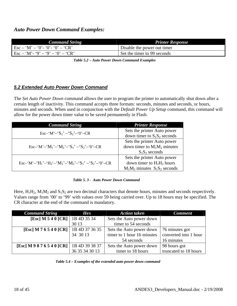| <b>Command String</b>                                                          | <b>Printer Response</b>     |
|--------------------------------------------------------------------------------|-----------------------------|
| $\mathbf{E}$ sc – 'M' – '0'- '0'- '0' – 'CR'                                   | Disable the power out timer |
| $\text{Esc} - \text{'M'} - \text{'9'} - \text{'9'} - \text{'0'} - \text{'CR'}$ | Set the timer to 99 seconds |

 *Table 5.2 – Auto Power Down Command Examples* 

### *5.2 Extended Auto Power Down Command*

The *Set Auto Power Down* command allows the user to program the printer to automatically shut down after a certain length of inactivity. This command accepts three formats: seconds, minutes and seconds, or hours, minutes and seconds. When used in conjunction with the *Default Power Up Setup* command, this command will allow for the power down timer value to be saved permanently in Flash.

| <b>Command String</b>                                                                                                      | <b>Printer Response</b>           |
|----------------------------------------------------------------------------------------------------------------------------|-----------------------------------|
| $\text{Esc-}'M'$ – 'S <sub>1</sub> ' – 'S <sub>2</sub> ' – '0' – CR                                                        | Sets the printer Auto power       |
|                                                                                                                            | down timer to $S_1S_2$ seconds    |
| Esc-'M'-'M <sub>1</sub> '-'M <sub>2</sub> '-'S <sub>1</sub> '-'S <sub>2</sub> '-'0'-CR                                     | Sets the printer Auto power       |
|                                                                                                                            | down timer to $M_1M_2$ minutes    |
|                                                                                                                            | $S_1S_2$ seconds                  |
| Esc-'M'-'H <sub>1</sub> '-'H <sub>2</sub> '-'M <sub>1</sub> '-'M <sub>2</sub> '-'S <sub>1</sub> '-'S <sub>2</sub> '-'0'-CR | Sets the printer Auto power       |
|                                                                                                                            | down timer to $H_1H_2$ hours      |
|                                                                                                                            | $M_1M_2$ minutes $S_1S_2$ seconds |

Here,  $H_1H_2$ ,  $M_1M_2$  and  $S_1S_2$  are two decimal characters that denote hours, minutes and seconds respectively. Values range from '00' to '99' with values over 59 being carried over. Up to 18 hours may be specified. The CR character at the end of the command is mandatory.

| <b>Command String</b>            | Hex            | <b>Action taken</b>        | <b>Comment</b>        |
|----------------------------------|----------------|----------------------------|-----------------------|
| [Esc] M 5 4 0 [CR]   1B 4D 35 34 |                | Sets the Auto power down   |                       |
|                                  | 30 13          | timer to 54 seconds        |                       |
| [Esc] M 7 6 5 4 0 [CR]           | 1B 4D 37 36 35 | Sets the Auto power down   | 76 minutes got        |
|                                  | 34 30 13       | timer to 1 hour 16 minutes | converted into 1 hour |
|                                  |                | 54 seconds                 | 16 minutes            |
| [Esc] M 9 8 7 6 5 4 0 [CR]       | 1B 4D 39 38 37 | Sets the Auto power down   | 98 hours got          |
|                                  | 36 35 34 30 13 | timer to 18 hours          | truncated to 18 hours |

 *Table 5.4 – Examples of the extended auto power down command*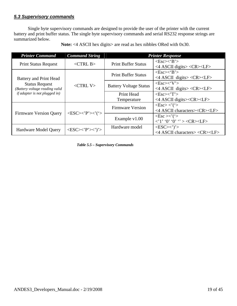### *5.3 Supervisory commands*

Single byte supervisory commands are designed to provide the user of the printer with the current battery and print buffer status. The single byte supervisory commands and serial RS232 response strings are summarized below.

| <b>Printer Command</b>                                  | <b>Command String</b>                                      |                               | <b>Printer Response</b>                                                                                                |
|---------------------------------------------------------|------------------------------------------------------------|-------------------------------|------------------------------------------------------------------------------------------------------------------------|
| <b>Print Status Request</b>                             | $\langle$ CTRL B $>$                                       | <b>Print Buffer Status</b>    | $\langle Esc \rangle \langle B' \rangle$<br><4 ASCII digits> <cr><lf></lf></cr>                                        |
| Battery and Print Head                                  |                                                            | <b>Print Buffer Status</b>    | $<\text{Esc}\right>\lt$ $B$ ' $>$<br><4 ASCII digits> <cr><lf></lf></cr>                                               |
| <b>Status Request</b><br>(Battery voltage reading valid | $\langle$ CTRL V $>$                                       | <b>Battery Voltage Status</b> | $\langle$ Esc> $\langle$ 'V'><br><4 ASCII digits> <cr><lf></lf></cr>                                                   |
| <i>if adapter is not plugged in)</i>                    |                                                            | Print Head<br>Temperature     | $<\text{Esc}\right>\lt'$ $T$ ' $>$<br><4 ASCII digits> <cr><lf></lf></cr>                                              |
|                                                         |                                                            | <b>Firmware Version</b>       | $\langle Esc \rangle \langle ' \rangle$<br><4 ASCII characters> <cr><lf></lf></cr>                                     |
| <b>Firmware Version Query</b>                           | $\langle ESC \rangle \langle P' \rangle \langle ' \rangle$ | Example $v1.00$               | $\langle$ Esc $>\!\!\!\!\times$ ' $($ ' $>$<br>$\langle 1' \, '0' \, '0' \, ' > \langle CR \rangle \langle LF \rangle$ |
| Hardware Model Query                                    | $\langle ESC\!\rangle\langle P'\!\rangle\langle\rangle'$   | Hardware model                | $<\text{ESC}\!\!><\!\!\cdot\!\!>$<br>$\langle$ 4 ASCII characters> $\langle$ CR> $\langle$ LF>                         |

Note: <4 ASCII hex digits> are read as hex nibbles ORed with 0x30.

 *Table 5.5 – Supervisory Commands*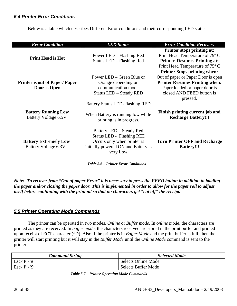### *5.4 Printer Error Conditions*

Below is a table which describes Different Error conditions and their corresponding LED status:

| <b>Error Condition</b>                               | <b>LED Status</b>                                                                                                                              | <b>Error Condition Recovery</b>                                                                                                                                                              |
|------------------------------------------------------|------------------------------------------------------------------------------------------------------------------------------------------------|----------------------------------------------------------------------------------------------------------------------------------------------------------------------------------------------|
| <b>Print Head is Hot</b>                             | Power LED – Flashing Red<br>Status LED - Flashing Red                                                                                          | Printer stops printing at:<br>Print Head Temperature of 79° C<br><b>Printer Resumes Printing at:</b><br>Print Head Temperature of 75° C                                                      |
| <b>Printer is out of Paper/Paper</b><br>Door is Open | Power LED – Green Blue or<br>Orange depending on<br>communication mode<br><b>Status LED - Steady RED</b>                                       | <b>Printer Stops printing when:</b><br>Out of paper or Paper Door is open<br><b>Printer Resumes Printing when:</b><br>Paper loaded or paper door is<br>closed AND FEED button is<br>pressed. |
| <b>Battery Running Low</b><br>Battery Voltage 6.5V   | Battery Status LED-flashing RED<br>When Battery is running low while<br>printing is in progress.                                               | Finish printing current job and<br><b>Recharge Battery!!!</b>                                                                                                                                |
| <b>Battery Extremely Low</b><br>Battery Voltage 6.3V | Battery LED – Steady Red<br><b>Status LED - Flashing RED</b><br>Occurs only when printer is<br>initially powered ON and Battery is<br>very Low |                                                                                                                                                                                              |

 *Table 5.6 – Printer Error Conditions* 

*Note: To recover from "Out of paper Error" it is necessary to press the FEED button in addition to loading the paper and/or closing the paper door. This is implemented in order to allow for the paper roll to adjust itself before continuing with the printout so that no characters get "cut off" the receipt.* 

### *5.5 Printer Operating Mode Commands*

The printer can be operated in two modes, *Online* or *Buffer mode*. In *online mode,* the characters are printed as they are received. In *buffer mode,* the characters received are stored in the print buffer and printed upon receipt of EOT character (^D). Also if the printer is in *Buffer Mode* and the print buffer is full, then the printer will start printing but it will stay in the *Buffer Mode* until the *Online Mode* command is sent to the printer.

| <b>Command String</b> | <b>Selected Mode</b>       |
|-----------------------|----------------------------|
| $Esc - P - #'$        | Selects Online Mode        |
| Esc-'P'-'\$'          | <b>Selects Buffer Mode</b> |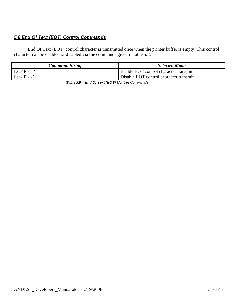# *5.6 End Of Text (EOT) Control Commands*

End Of Text (EOT) control character is transmitted once when the printer buffer is empty. This control character can be enabled or disabled via the commands given in table 5.8.

| Command String                              | <b>Selected Mode</b>                   |
|---------------------------------------------|----------------------------------------|
| $\mathbf{E}$ sc-'P'-'+'                     | Enable EOT control character transmit  |
| $\text{Esc-} \cdot \text{P'} - \cdot \cdot$ | Disable EOT control character transmit |

 *Table 5.8 – End Of Text (EOT) Control Commands*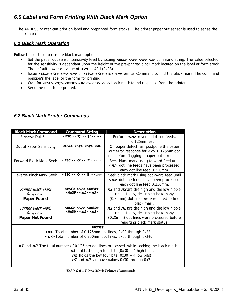# *6.0 Label and Form Printing With Black Mark Option*

 The ANDES3 printer can print on label and preprinted form stocks. The printer paper out sensor is used to sense the black mark position.

### *6.1 Black Mark Operation*

Follow these steps to use the black mark option.

- Set the paper out sensor sensitivity level by issuing **<ESC> <'Q'> <'Q'> <n>** command string. The value selected for the sensitivity is dependant upon the height of the pre-printed black mark located on the label or form stock. The default power on value of **<n>** is 40d (0x28).
- Issue **<ESC> <'Q'> <'F'> <m>** or **<ESC> <'Q'> <'B'> <m>** printer Command to find the black mark. The command position's the label or the form for printing.
- Wait for **<ESC> <'Q'> <0x3F> <0x3F>** <**n1> <n2**> black mark found response from the printer.
- Send the data to be printed.

| <b>Black Mark Command</b>                         | <b>Command String</b>             | <b>Description</b>                                                                       |
|---------------------------------------------------|-----------------------------------|------------------------------------------------------------------------------------------|
| Reverse Dot Feed                                  | $<$ ESC> $<$ 'Q'> $<$ 'J'> $<$ n> | Perform $\langle n \rangle$ reverse dot line feeds,                                      |
|                                                   |                                   | $0.125$ mm each.                                                                         |
| Out of Paper Sensitivity                          | $<$ ESC> $<$ 'Q'> $<$ 'Q'> $<$ n> | On paper detect fail, postpone the paper                                                 |
|                                                   |                                   | out error response for $\langle n \rangle$ 0.125mm dot                                   |
|                                                   |                                   | lines before flagging a paper out error.                                                 |
| <b>Forward Black Mark Seek</b>                    | $<$ ESC> $<$ 'Q'> $<$ 'F'> $<$ m> | Seek black mark using forward feed until                                                 |
|                                                   |                                   | < <i>m</i> > dot line feeds have been processed,                                         |
|                                                   |                                   | each dot line feed 0.250mm.                                                              |
| Reverse Black Mark Seek                           | $<$ ESC> $<$ 'Q'> $<$ 'B'> $<$ m> | Seek black mark using backward feed until                                                |
|                                                   |                                   | <m> dot line feeds have been processed,</m>                                              |
|                                                   |                                   | each dot line feed 0.250mm.                                                              |
| Printer Black Mark                                | $<$ ESC> $<$ 'Q'> $<$ 0x3F>       | $n1$ and $n2$ are the high and the low nibble,                                           |
| Response:                                         | $<$ 0x3F> $<$ n1> $<$ n2>         | respectively, describing how many                                                        |
| <b>Paper Found</b>                                |                                   | (0.25mm) dot lines were required to find                                                 |
|                                                   |                                   | black mark.                                                                              |
| $<$ ESC> $<$ 'Q'> $<$ 0x30><br>Printer Black Mark |                                   | $n1$ and $n2$ are the high and the low nibble,                                           |
| Response:                                         | $<0x30>$ $<$ $n1>$ $<$ $n2>$      | respectively, describing how many                                                        |
| Paper Not Found                                   |                                   | (0.25mm) dot lines were processed before                                                 |
|                                                   |                                   | reporting black mark status.                                                             |
|                                                   | Notes:                            |                                                                                          |
|                                                   |                                   | <n> Total number of 0.125mm dot lines, 0x00 through 0xFF.</n>                            |
|                                                   |                                   | < <i>m</i> >Total number of 0.250mm dot lines, 0x00 through 0XFF.                        |
|                                                   |                                   |                                                                                          |
|                                                   |                                   | n1 and n2 The total number of 0.125mm dot lines processed, while seeking the black mark. |
|                                                   |                                   | $n1$ holds the high four bits (0x30 + 4 high bits).                                      |
|                                                   |                                   | $n2$ holds the low four bits (0x30 + 4 low bits).                                        |
|                                                   |                                   | n1 and n2 can have values 0x30 through 0x3f.                                             |
|                                                   |                                   |                                                                                          |

### *6.2 Black Mark Printer Commands*

 *Table 6.0 – Black Mark Printer Commands*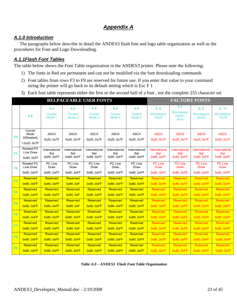# *Appendix A*

### *A.1.0 Introduction*

The paragraphs below describe in detail the ANDES3 flash font and logo table organization as well as the procedures for Font and Logo Downloading.

### *A.1.1Flash Font Tables*

The table below shows the Font Table organization in the ANDES3 printer. Please note the following:

- 1) The fonts in Red are permanent and can not be modified via the font downloading commands
- 2) Font tables from rows F3 to F9 are reserved for future use. If you enter that value in your command string the printer will go back to its default setting which is Esc F 1
- 3) Each font table represents either the first or the second half of a font , not the complete 255 character set

|                | <b>RELPACEABLE USER FONTS</b>               |                            |                            |                            |                            |                            | <b>FACTORY FONTS</b>          |                                              |                               |                               |
|----------------|---------------------------------------------|----------------------------|----------------------------|----------------------------|----------------------------|----------------------------|-------------------------------|----------------------------------------------|-------------------------------|-------------------------------|
|                | $k-0$                                       | $k-1$<br>Courier<br>Mode 1 | $k-2$<br>Courier<br>Mode 2 | $k-3$<br>Courier<br>Mode 3 | $k-4$<br>Courier<br>Mode 4 | $k-5$<br>Courier<br>Mode 5 | $k - 6$<br>Monospace<br>10x23 | k-7<br>Monospace<br>$10x23 -$<br><b>Bold</b> | $k - 8$<br>Monospace<br>20x23 | $k - 9$<br>Monospace<br>10x18 |
| F <sub>0</sub> | Courier<br>Mode<br>0(Rotated)<br>10x20.0x7F | <b>ASCII</b><br>0x200x7F   | <b>ASCII</b><br>0x20.0x7F  | <b>ASCII</b><br>0x200x7F   | <b>ASCII</b><br>0x20.0x7F  | <b>ASCII</b><br>0x20.0x7F  | <b>ASCII</b><br>0x200x7F      | <b>ASCII</b><br>0x20.0x7F                    | <b>ASCII</b><br>0x200x7F      | <b>ASCII</b><br>0x200x7F      |
| F <sub>1</sub> | <b>Rotated PC</b>                           | International              | International              | International              | International              | International              | International                 | International                                | International                 | <b>International</b>          |
|                | Line Draw                                   | Set                        | Set                        | Set                        | Set                        | Set                        | <b>Set</b>                    | <b>Set</b>                                   | <b>Set</b>                    | <b>Set</b>                    |
|                | 0x800xFF                                    | 0x800xFF                   | 0x800xFF                   | 0x800xFF                   | 0x800xFF                   | 0x800xFF                   | 0x800xFF                      | 0x800xFF                                     | 0x800xFF                      | 0x800xFF                      |
| F <sub>2</sub> | <b>Rotated PC</b>                           | PC Line                    | PC Line                    | PC Line                    | PC Line                    | PC Line                    | <b>PC Line</b>                | <b>PC Line</b>                               | <b>PC Line</b>                | <b>PC Line</b>                |
|                | Line Draw                                   | Draw                       | Draw                       | Draw                       | Draw                       | Draw                       | <b>Draw</b>                   | <b>Draw</b>                                  | <b>Draw</b>                   | <b>Draw</b>                   |
|                | 0x800xFF                                    | 0x800xFF                   | 0x800xFF                   | 0x800xFF                   | 0x800xFF                   | 0x800xFF                   | 0x800xFF                      | 0x800xFF                                     | 0x800xFF                      | 0x800xFF                      |
| F3             | Reserved                                    | Reserved                   | Reserved                   | Reserved                   | Reserved                   | Reserved                   | Reserved                      | Reserved                                     | Reserved                      | Reserved                      |
|                | 0x80.0xFF                                   | 0x80.0xFF                  | 0x80.0xF                   | 0x80.0xFF                  | 0x800xFF                   | 0x80.0xFF                  | 0x800xFF                      | 0x800xFF                                     | 0x800xFF                      | 0x800xFF                      |
|                | Reserved                                    | Reserved                   | Reserved                   | Reserved                   | Reserved                   | Reserved                   | Reserved                      | <b>Reserved</b>                              | Reserved                      | Reserved                      |
| <b>F4</b>      | 0x80.0xFF                                   | 0x80.0xFF                  | 0x80.0xF                   | 0x80.0xFF                  | 0x80.0xFF                  | 0x80.0xFF                  | 0x800xFF                      | 0x800xFF                                     | 0x80.0xFF                     | 0x800xFF                      |
| F <sub>5</sub> | Reserved                                    | Reserved                   | Reserved                   | Reserved                   | Reserved                   | Reserved                   | Reserved                      | <b>Reserved</b>                              | Reserved                      | Reserved                      |
|                | 0x80.0xFF                                   | 0x80.0xFF                  | 0x80.0xF                   | 0x80.0xFF                  | 0x80.0xFF                  | 0x80.0xFF                  | 0x800xFF                      | 0x800xFF                                     | 0x800xFF                      | 0x800xFF                      |
| F <sub>6</sub> | Reserved                                    | Reserved                   | Reserved                   | Reserved                   | Reserved                   | Reserved                   | Reserved                      | <b>Reserved</b>                              | Reserved                      | Reserved                      |
|                | 0x800xFF                                    | 0x80.0xFF                  | 0x80.0xFF                  | 0x800xFF                   | 0x800xFF                   | 0x800xFF                   | 0x800xFF                      | 0x800xFF                                     | 0x800xFF                      | 0x800xFF                      |
| F7             | Reserved                                    | <b>Reserved</b>            | Reserved                   | Reserved                   | Reserved                   | Reserved                   | Reserved                      | <b>Reserved</b>                              | Reserved                      | Reserved                      |
|                | 0x80.0xFF                                   | 0x80.0xFF                  | 0x80.0xF                   | 0x80.0xFF                  | 0x80.0xFF                  | 0x80.0xFF                  | 0x80.0xFF                     | 0x800xFF                                     | 0x800xFF                      | 0x800xFF                      |
| F <sub>8</sub> | Reserved                                    | <b>Reserved</b>            | Reserved                   | Reserved                   | Reserved                   | Reserved                   | Reserved                      | <b>Reserved</b>                              | Reserved                      | Reserved                      |
|                | 0x80.0xFF                                   | 0x80.0xFF                  | 0x80.0xFF                  | 0x80.0xFF                  | 0x80.0xFF                  | 0x80.0xFF                  | 0x80.0xFF                     | 0x800xFF                                     | 0x800xFF                      | 0x800xFF                      |
| F <sub>9</sub> | Reserved                                    | Reserved                   | <b>Reserved</b>            | Reserved                   | Reserved                   | Reserved                   | Reserved                      | <b>Reserved</b>                              | Reserved                      | Reserved                      |
|                | 0x80.0xFF                                   | 0x80.0xFF                  | 0x80.0xFF                  | 0x80.0xFF                  | 0x80.0xFF                  | 0x80.0xFF                  | 0x800xFF                      | 0x800xFF                                     | 0x800xFF                      | 0x800xFF                      |

 *Table A.0 – ANDES3 Flash Font Table Organization*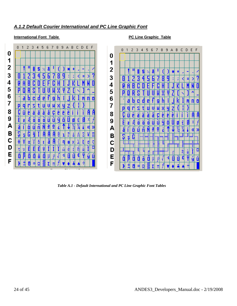### **International Font Table 19 C Line Graphic Table** 0 1 2 3 4 5 6 7 8 9 A B C D E F 0123456789ABCDEF 0 1  $\overline{2}$ S 8 z ₩ ۰ z ۰ 7 И þ Č Ξ > 3 H 8 q t n 4 М p 5 P S 6 а C n 0 D О M a h c г M  $\overline{7}$ D q s t U U z X p q г s t ч z Ш IJ М х é ä å è â ë ë Ï Ü à R F C 8 é ä C Ü â à ë ë ā C é T ô ö Æ Ù ÿ Ö £ æ 0 Ш Ш 9 ö E æ Æ ö Ч 0 0 U ñ ó ú ₫ á A « Ж á í ó a ₫ Ш П SI 8 G ľ ¥l П q Δ ı в s Λ 6 s ф 6 C W ŧ n  $\theta$ K λ ŧ ø ¢ α ◻ έ E E E ά n D v I ŵ Ŵ τ ή ŵ

### *A.1.2 Default Courier International and PC Line Graphic Font*

õ

П

т π 4

f

ú

0

1

2

3

4

5

6

7

8

9

A

в

C

D

Е

F

Π

Π 0

H œ Ω

7

Π

o

Ĥ

D

q

ý ú

I.

U

4 Û

0

 $\blacksquare$ 

Σl

V

f

n.

A

э

 *Table A.1 - Default International and PC Line Graphic Font Tables* 

Ε

F

O

删 8 O Ö 0

ø Ω

O

Þ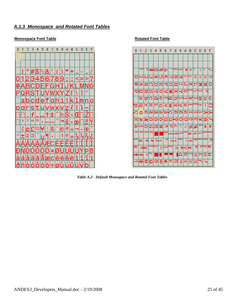### *A.1.3 Monospace and Rotated Font Tables*

### **Monospace Font Table Rotated Font Table**





 *Table A.2 - Default Monospace and Rotated Font Tables*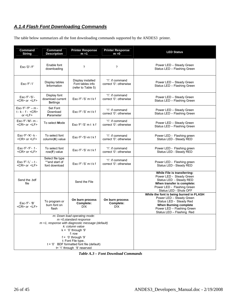# *A.1.4 Flash Font Downloading Commands*

The table below summarizes all the font downloading commands supported by the ANDES3 printer.

| Command<br><b>String</b>                                                                                                                                                                                                                                                                              | Command<br><b>Description</b>                       | <b>Printer Response</b><br><b>Printer Response</b><br>$m = 1$<br>$m = 0$ |                                           | <b>LED Status</b>                                                                                                                                                                         |
|-------------------------------------------------------------------------------------------------------------------------------------------------------------------------------------------------------------------------------------------------------------------------------------------------------|-----------------------------------------------------|--------------------------------------------------------------------------|-------------------------------------------|-------------------------------------------------------------------------------------------------------------------------------------------------------------------------------------------|
| Esc-'D'-'F'                                                                                                                                                                                                                                                                                           | Enable font<br>downloading                          | ?                                                                        | $\boldsymbol{\mathcal{P}}$                | Power LED - Steady Green<br>Status LED - Flashing Green                                                                                                                                   |
| $Esc-F'-T$                                                                                                                                                                                                                                                                                            | Display tables<br><b>Information</b>                | Display installed<br>Font tables info<br>(refer to Table 5)              | '1': if command<br>correct '0': otherwise | Power LED - Steady Green<br>Status LED - Flashing Green                                                                                                                                   |
| Esc-'F'-'S'-<br><cr> or <lf></lf></cr>                                                                                                                                                                                                                                                                | Display font<br>download current<br><b>Settings</b> | $Esc-f'-'S'$ m $tkf$                                                     | '1': if command<br>correct '0': otherwise | Power LED - Steady Green<br>Status LED - Flashing Green                                                                                                                                   |
| $Esc-f'-P'-m-$<br>$t - k - f - <$ CR><br>or $\leq$ LF $>$                                                                                                                                                                                                                                             | Set Font<br>Download<br>Parameter                   | $Esc-f'-'S'$ m $tkf$                                                     | '1': if command<br>correct '0': otherwise | Power LED - Steady Green<br>Status LED - Flashing Green                                                                                                                                   |
| Esc-'F'-'M'- m -<br><cr> or <lf></lf></cr>                                                                                                                                                                                                                                                            | To select Mode                                      | $Esc-f'-S'$ m t $kf$                                                     | '1': if command<br>correct '0': otherwise | Power LED - Steady Green<br>Status LED - Flashing Green                                                                                                                                   |
| Esc-'F'-'K'- k -<br><cr> or <lf></lf></cr>                                                                                                                                                                                                                                                            | To select font<br>$column(K)$ value                 | $Esc-f'-S'-m$ t k f                                                      | '1': if command<br>correct '0': otherwise | Power LED - Flashing green<br>Status LED - Steady RED                                                                                                                                     |
| $Esc-f'-F'-f-$<br><cr> or <lf></lf></cr>                                                                                                                                                                                                                                                              | To select font<br>row( $F$ ) value                  | $Esc-f'='S' m t k f$                                                     | '1': if command<br>correct '0': otherwise | Power LED - Flashing green<br>Status LED - Steady RED                                                                                                                                     |
| Esc-'F'-'L' $-$ t -<br><cr> or <lf></lf></cr>                                                                                                                                                                                                                                                         | Select file type<br>**and start of<br>font download | $Esc-f'-'S'$ m $tkf$                                                     | '1': if command<br>correct '0': otherwise | Power LED - Flashing green<br>Status LED - Steady RED                                                                                                                                     |
| Send the .bdf<br>file                                                                                                                                                                                                                                                                                 |                                                     | Send the File                                                            |                                           | While File is transferring:<br>Power LED - Steady Green<br>Status LED - Steady RED<br>When transfer is complete:<br>Power LED - Flashing Green<br>Status LED - Shuts OFF                  |
| $Esc-F - B'$<br><cr> or <lf></lf></cr>                                                                                                                                                                                                                                                                | To program or<br>burn font on<br>flash              | On burn process<br>Complete:<br>D!X                                      | On burn process<br>Complete:<br>D!X       | While the font is being burned in FLASH<br>Power LED - Steady Green<br>Status LED - Steady Red<br><b>When Burning complete</b><br>Power LED - Flashing Green<br>Status LED - Flashing Red |
| m: Down load operating mode:<br>$m = 0$ , standard response<br>$m = 1$ , response with diagnostic message (default)<br>k: column value<br>$k = '0'$ through '9'<br>f: row<br>$f = '0'$ through '9'<br>t: Font File type<br>$t = '0'$ BDF formatted font file (default)<br>t= '1' through '9' reserved |                                                     |                                                                          |                                           |                                                                                                                                                                                           |

 *Table A.3 – Font Download Commands*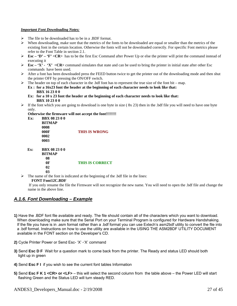### *Important Font Downloading Notes:*

- $\triangleright$  The file to be downloaded has to be in a .BDF format.
- ¾ When downloading, make sure that the metrics of the fonts to be downloaded are equal or smaller than the metrics of the existing font in the certain location. Otherwise the fonts will not be downloaded correctly. For specific Font metrics please refer to the Font Table in section 2.1.
- ¾ **Esc 'D' 'F' <CR>** has to be the first Esc Command after Power Up or else the printer will print the command instead of executing it
- $\triangleright$  **Esc** 'X' 'X' < CR> command simulates that state and can be used to bring the printer in initial state after other Esc commands have been used.
- $\triangleright$  After a font has been downloaded press the FEED button twice to get the printer out of the downloading mode and then shut the printer OFF by pressing the ON/OFF switch.
- $\triangleright$  The header on top of each character in the .bdf font has to represent the true size of the font bit map. **Ex : for a 16x23 font the header at the beginning of each character needs to look like that: BBX 16 23 0 0** 
	- **Ex: for a 10 x 23 font the header at the beginning of each character needs to look like that: BBX 10 23 0 0**
- $\triangleright$  If the font which you are going to download is one byte in size (8x 23) then in the .bdf file you will need to have one byte only.

**Otherwise the firmware will not accept the font!!!!!!!!** 

**Ex: BBX 08 23 0 0 BITMAP 0008 000F THIS IS WRONG 0002 0003** 

 **Ex: BBX 08 23 0 0 BITMAP 08 0F THIS IS CORRECT** 

- **02 03**
- $\triangleright$  The name of the font is indicated at the beginning of the .bdf file in the lines:

### **FONT Font12C.BDF**

 If you only rename the file the Firmware will not recognize the new name. You will need to open the .bdf file and change the name in the above line.

### *A.1.6. Font Downloading – Example*

- **1)** Have the .BDF font file available and ready. The file should contain all of the characters which you want to download. When downloading make sure that the Serial Port on your Terminal Program is configured for Hardware Handshaking. If the file you have is in .asm format rather than a .bdf format you can use Extech's asm2bdf utility to convert the file into a .bdf format. Instructions on how to use the utility are available in the USING THE ASM2BDF UTILITY DOCUMENT available in the FONT section on the Developer's CD.
- **2)** Cycle Printer Power or Send Esc- 'X' -'X' command
- **3)** Send **Esc D F** Wait for a question mark to come back from the printer. The Ready and status LED should both light up in green
- **4)** Send **Esc F I** if you wish to see the current font tables Information
- **5)** Send **Esc F K 1 <CR> or <LF>** this will select the second column from the table above the Power LED will start flashing Green and the Status LED will turn steady RED.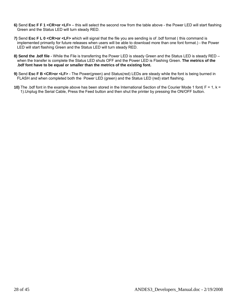- **6)** Send **Esc F F 1 <CR>or <LF>** this will select the second row from the table above the Power LED will start flashing Green and the Status LED will turn steady RED.
- **7)** Send **Esc F L 0 <CR>or <LF>** which will signal that the file you are sending is of .bdf format ( this command is implemented primarily for future releases when users will be able to download more than one font format.) - the Power LED will start flashing Green and the Status LED will turn steady RED.
- **8) Send the .bdf file** While the File is transferring the Power LED is steady Green and the Status LED is steady RED when the transfer is complete the Status LED shuts OFF and the Power LED is Flashing Green. **The metrics of the .bdf font have to be equal or smaller than the metrics of the existing font.**
- **9)** Send **Esc F B <CR>or <LF>** The Power(green) and Status(red) LEDs are steady while the font is being burned in FLASH and when completed both the Power LED (green) and the Status LED (red) start flashing.
- **10)** The .bdf font in the example above has been stored in the International Section of the Courier Mode 1 font( F = 1, k = 1).Unplug the Serial Cable, Press the Feed button and then shut the printer by pressing the ON/OFF button.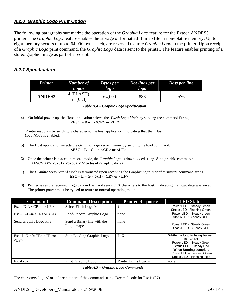### *A.2.0 Graphic Logo Print Option*

The following paragraphs summarize the operation of the *Graphic Logo* feature for the Extech ANDES3 printer. The *Graphic Logo* feature enables the storage of formatted Bitmap file in nonvolatile memory. Up to eight memory sectors of up to 64,000 bytes each, are reserved to store *Graphic Logo* in the printer. Upon receipt of a *Graphic Logo* print command, the *Graphic Logo* data is sent to the printer. The feature enables printing of a stored graphic image as part of a receipt.

### *A.2.1 Specification*

| <b>Printer</b> | <b>Number of</b><br><b>Logos</b> | <b>Bytes</b> per<br>logo | Dot lines per<br>logo | Dots per line |
|----------------|----------------------------------|--------------------------|-----------------------|---------------|
| <b>ANDES3</b>  | 4 (FLASH)<br>$n = (03)$          | 64,000                   | 888                   | 576           |

| Table A.4 - Graphic Logo Specification |
|----------------------------------------|
|----------------------------------------|

4) On initial power-up, the Host application selects the *Flash Logo Mode* by sending the command String: **<ESC - D – L-<CR> or <LF>**

 Printer responds by sending ? character to the host application indicating that the *Flash Logo Mode* is enabled.

- 5) The Host application selects the *Graphic Logo record mode* by sending the load command: **<ESC – L – G – n-<CR> or <LF>**
- 6) Once the printer is placed in record mode, the *Graphic Logo* is downloaded using 8-bit graphic command: **<ESC> <V> <0x01> <0x00> <72 bytes of Graphic data>**
- 7) The *Graphic Logo record mode i*s terminated upon receiving the Graphic *Logo record terminate* command string.  **ESC – L – G - 0xff -<CR> or <LF>**
- 8) Printer saves the received Logo data in flash and sends D!X characters to the host, indicating that logo data was saved. The printer power must be cycled to return to normal operating mode.

| <b>Command</b>                                                    | <b>Command Description</b>                | <b>Printer Response</b> | <b>LED Status</b>                                                                                                                                                                            |
|-------------------------------------------------------------------|-------------------------------------------|-------------------------|----------------------------------------------------------------------------------------------------------------------------------------------------------------------------------------------|
| $Esc - D-L < CR > or < LP >$                                      | Select Flash Logo Mode                    | ?                       | Power LED - Steady Green<br>Status LED - Flashing Green                                                                                                                                      |
| $\text{Esc} - \text{L-G-n} < \text{CR} > \text{or} < \text{LF} >$ | Load/Record Graphic Logo                  | none                    | Power LED - Steady green<br>Status LED - Steady RED                                                                                                                                          |
| Send Graphic Logo File                                            | Send a Binary file with the<br>Logo image | none                    | Power LED - Steady Green<br>Status LED - Steady RED                                                                                                                                          |
| Esc-L-G- $&0$ xFF $>$ - $<$ CR $>$ or<br>$<$ LF $>$               | Stop Loading Graphic Logo                 | D!X                     | While the logo is being burned<br>in FLASH<br>Power LED - Steady Green<br>Status LED - Steady Red<br><b>When Burning complete</b><br>Power LED - Flashing Green<br>Status LED - Flashing Red |
| $Esc-L-g-n$                                                       | Print Graphic Logo                        | Printer Prints Logo n   | none                                                                                                                                                                                         |

*Table A.5 – Graphic Logo Commands* 

The characters '-', '<' or '>' are not part of the command string. Decimal code for Esc is (27).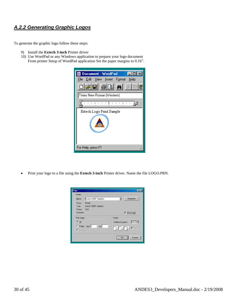### *A.2.2 Generating Graphic Logos*

To generate the graphic logo follow these steps:

- 9) Install the **Extech 3-inch** Printer driver
- 10) Use WordPad or any Windows application to prepare your logo document From printer Setup of WordPad application Set the paper margins to 0.16".



• Print your logo to a file using the **Extech 3-inch** Printer driver. Name the file LOGO.PRN.

| Print                            | <b>P</b>                            |
|----------------------------------|-------------------------------------|
| Printer                          |                                     |
| Extech 2000T Graphics<br>Name:   | Properties                          |
| Status:<br>Ready                 |                                     |
| Extech 2000T Graphics<br>Type:   |                                     |
| Where: FILE:<br>Comment:         | $\nabla$ Print to file              |
| Print range                      | Copies                              |
| 6 All                            | Number of copies:                   |
| C Pages from: 1<br>$ 100\rangle$ | <b>Gulfal Gal</b><br>$\Box$ Collate |
| O Selection                      |                                     |
|                                  | Cancel<br>0K                        |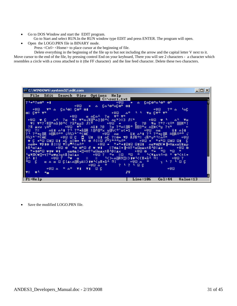- Go to DOS Window and start the EDIT program.
	- Go to Start and select RUN.In the RUN window type EDIT and press ENTER. The program will open.
- Open the LOGO.PRN file in BINARY mode.
	- Press <Ctrl> <Home> to place cursor at the beginning of file.

 Delete everything in the beginning of the file up to but not including the arrow and the capital letter V next to it. Move cursor to the end of the file, by pressing control End on your keyboard, There you will see 2 characters - a character which resembles a circle with a cross attached to it (the FF character) and the line feed character. Delete these two characters.



Save the modified LOGO.PRN file.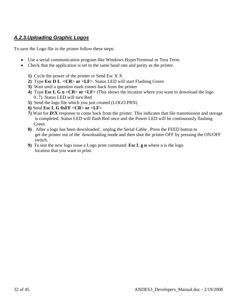# *A.2.3.Uploading Graphic Logos*

To save the Logo file in the printer follow these steps:

- Use a serial communication program like Windows HyperTerminal or Tera Term.
- Check that the application is set to the same baud rate and parity as the printer.
	- **1)** Cycle the power of the printer or Send Esc X X
	- **2)** Type **Esc D L <CR> or <LF>**. Status LED will start Flashing Green
	- **3)** Wait until a question mark comes back from the printer
	- **4)** Type **Esc L G n <CR> or <LF>** (This shows the location where you want to download the logo 0..7). Status LED will turn Red
	- **5)** Send the logo file which you just created (LOGO.PRN)
	- **6)** Send **Esc L G 0xFF <CR> or <LF>**
	- **7)** Wait for **D!X** response to come back from the printer. This indicates that file transmission and storage is completed. Status LED will flash Red once and the Power LED will be continuously flashing Green
	- **8)** After a logo has been downloaded , unplug the Serial Cable , Press the FEED button to get the printer out of the downloading mode and then shut the printer OFF by pressing the ON/OFF switch.
	- **9)** To test the new logo issue a Logo print command: **Esc L g n** where n is the logo location that you want to print.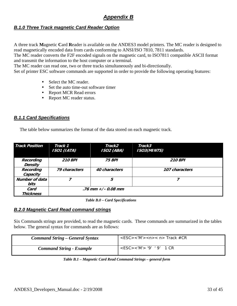# *Appendix B*

### *B.1.0 Three Track magnetic Card Reader Option*

A three track **M**agnetic **C**ard **R**eader is available on the ANDES3 model printers. The MC reader is designed to read magnetically encoded data from cards conforming to ANSI/ISO 7810, 7811 standards.

The MC reader converts the F2F encoded signals on the magnetic card, to ISO7811 compatible ASCII format and transmit the information to the host computer or a terminal.

The MC reader can read one, two or three tracks simultaneously and bi-directionally.

Set of printer ESC software commands are supported in order to provide the following operating features:

- Select the MC reader.
- Set the auto time-out software timer
- Report MCR Read errors
- Report MC reader status.

### *B.1.1 Card Specifications*

The table below summarizes the format of the data stored on each magnetic track.

| <b>Track Position</b>         | Track 1<br>ISO1 (IATA) | Track2<br><b>ISO2 (ABA)</b> | Track3<br><b>ISO3(MINTS)</b> |
|-------------------------------|------------------------|-----------------------------|------------------------------|
| Recording<br><b>Density</b>   | <b>210 BPI</b>         | <b>75 BPI</b>               | <b>210 BPI</b>               |
| Recording<br>Capacity         | 79 characters          | 40 characters               | 107 characters               |
| <b>Number of data</b><br>bits | 7                      | 5                           |                              |
| Card<br><b>Thickness</b>      |                        | .76 mm $+/- 0.08$ mm        |                              |

 *Table B.0 – Card Specifications* 

### *B.2.0 Magnetic Card Read command strings*

Six Commands strings are provided, to read the magnetic cards. These commands are summarized in the tables below. The general syntax for commands are as follows:

| <b>Command String – General Syntax</b> | $<$ ESC><'M'>< $n$ >< $n$ > Track #CR |
|----------------------------------------|---------------------------------------|
| <b>Command String - Example</b>        | $<$ ESC><'M'> '9' '9' 1 CR            |

| Table B.1 - Magnetic Card Read Command Strings - general form |  |
|---------------------------------------------------------------|--|
|---------------------------------------------------------------|--|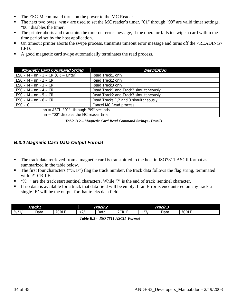- The ESC-M command turns on the power to the MC Reader
- The next two bytes,  $\langle nn \rangle$  are used to set the MC reader's timer. "01" through "99" are valid timer settings. "00" disables the timer.
- The printer aborts and transmits the time-out error message, if the operator fails to swipe a card within the time period set by the host application.
- On timeout printer aborts the swipe process, transmits timeout error message and turns off the <READING> LED.
- A good magnetic card swipe automatically terminates the read process.

| <b>Magnetic Card Command String</b>                              | <b>Description</b>                    |  |
|------------------------------------------------------------------|---------------------------------------|--|
| $\text{ESC} - \text{M} - \text{nn} - 1 - \text{CR}$ (CR = Enter) | Read Track1 only                      |  |
| $\text{ESC} - \text{M} - \text{nn} - 2 - \text{CR}$              | Read Track2 only                      |  |
| $\text{ESC} - \text{M} - \text{nn} - 3 - \text{CR}$              | Read Track3 only                      |  |
| $\textsf{ESC} - \textsf{M} - \textsf{nn} - 4 - \textsf{CR}$      | Read Track1 and Track2 simultaneously |  |
| $\text{ESC} - \text{M} - \text{nn} - 5 - \text{CR}$              | Read Track2 and Track3 simultaneously |  |
| $\textsf{ESC} - \textsf{M} - \textsf{nn} - 6 - \textsf{CR}$      | Read Tracks 1,2 and 3 simultaneously  |  |
| $\mathsf{ESC} - \mathsf{C}$                                      | Cancel MC Read process                |  |
| $nn = ASCII "01"$ through "99" seconds                           |                                       |  |
| $nn = "00"$ disables the MC reader timer                         |                                       |  |

 *Table B.2 – Magnetic Card Read Command Strings - Details* 

### *B.3.0 Magnetic Card Data Output Format*

- The track data retrieved from a magnetic card is transmitted to the host in ISO7811 ASCII format as summarized in the table below.
- The first four characters ("%/1/") flag the track number, the track data follows the flag string, terminated with '?'-CR-LF.
- '%;+' are the track start sentinel characters, While '?' is the end of track sentinel character.
- If no data is available for a track that data field will be empty. If an Error is encountered on any track a single 'E' will be the output for that tracks data field.

| Track1 |      | Track 2 |            |      | Track 3   |                                  |      |           |
|--------|------|---------|------------|------|-----------|----------------------------------|------|-----------|
| %11    | Data | ?CRLF   | $\sqrt{2}$ | Data | ?CRL<br>- | $\overline{\phantom{a}}$<br>رۍ ا | Data | ?CRL<br>- |

 *Table B.3 - ISO 7811 ASCII Format*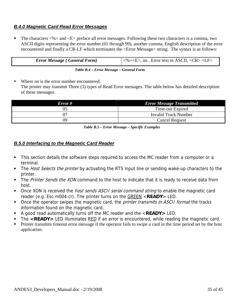### *B.4.0 Magnetic Card Read Error Messages*

The characters  $\langle\% \rangle$  and  $\langle E \rangle$  preface all error messages. Following these two characters is a comma, two ASCII digits representing the error number (01 through 99), another comma, English description of the error encountered and finally a CR-LF which terminates the <Error Message> string. The syntax is as follows:

| <b>Error Message (General Form)</b> | $\frac{1}{5}$ <%> <e>, nn, Error text in ASCII, <cr><lf></lf></cr></e> |
|-------------------------------------|------------------------------------------------------------------------|

Where *nn* is the error number encountered. The printer may transmit Three (3) types of Read Error messages. The table below has detailed description of these messages.

| Error # | <b>Error Message Transmitted</b> |  |
|---------|----------------------------------|--|
|         | Time-out Expired                 |  |
| 07      | <b>Invalid Track Number</b>      |  |
| 09      | <b>Cancel Request</b>            |  |

 *Table B.5 – Error Message – Specific Examples* 

### *B.5.0 Interfacing to the Magnetic Card Reader*

- This section details the software steps required to access the MC reader from a computer or a terminal.
- The Host Selects the printer by activating the RTS input line or sending wake-up characters to the printer.
- The Printer Sends the XON command to the host to indicate that it is ready to receive data from host.
- Once XON is received the *host sends ASCII serial command string* to enable the magnetic card reader (e.g. Esc-m004-cr). The printer turns on the GREEN <**READY**> LED.
- Once the operator swipes the magnetic card, the *printer transmits in ASCII format* the tracks information found on the magnetic card.
- A good read automatically turns off the MC reader and the <**READY>** LED.
- The **<READY>** LED illuminates RED if an error is encountered, while reading the magnetic card.
- Printer transmits timeout error message if the operator fails to swipe a card in the time period set by the host application.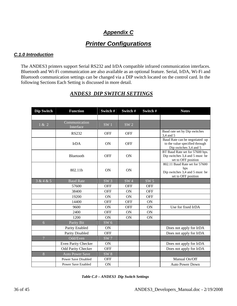# *Appendix C*

# *Printer Configurations*

### *C.1.0 Introduction*

The ANDES3 printers support Serial RS232 and IrDA compatible infrared communication interfaces. Bluetooth and Wi-Fi communication are also available as an optional feature. Serial, IrDA, Wi-Fi and Bluetooth communication settings can be changed via a DIP switch located on the control card. In the following Sections Each Setting is discussed in more detail.

| <b>Dip Switch</b> | <b>Function</b>            | Switch#         | Switch#         | Switch#         | <b>Notes</b>                                                                                   |
|-------------------|----------------------------|-----------------|-----------------|-----------------|------------------------------------------------------------------------------------------------|
|                   |                            |                 |                 |                 |                                                                                                |
| 1 & 2             | Communication<br>Interface | SW <sub>1</sub> | SW <sub>2</sub> |                 |                                                                                                |
|                   | <b>RS232</b>               | <b>OFF</b>      | <b>OFF</b>      |                 | Baud rate set by Dip switches<br>3,4 and 5                                                     |
|                   | <b>IrDA</b>                | ON              | <b>OFF</b>      |                 | Baud Rate can be negotiated up<br>to the value specified through<br>Dip switches 3,4 and 5     |
|                   | Bluetooth                  | <b>OFF</b>      | ON              |                 | BT Baud Rate set for 57600 bps.<br>Dip switches 3,4 and 5 must be<br>set to OFF position       |
|                   | 802.11b                    | ON              | <b>ON</b>       |                 | 802.11 Baud Rate set for 57600<br>bps<br>Dip switches 3,4 and 5 must be<br>set to OFF position |
| 3 & 4 & 5         | <b>Baud Rate</b>           | SW <sub>3</sub> | SW <sub>4</sub> | SW <sub>5</sub> |                                                                                                |
|                   | 57600                      | <b>OFF</b>      | <b>OFF</b>      | <b>OFF</b>      |                                                                                                |
|                   | 38400                      | <b>OFF</b>      | ON              | <b>OFF</b>      |                                                                                                |
|                   | 19200                      | <b>ON</b>       | <b>ON</b>       | <b>OFF</b>      |                                                                                                |
|                   | 14400                      | <b>OFF</b>      | <b>OFF</b>      | ON              |                                                                                                |
|                   | 9600                       | <b>ON</b>       | <b>OFF</b>      | ON              | Use for fixed IrDA                                                                             |
|                   | 2400                       | <b>OFF</b>      | <b>ON</b>       | ON              |                                                                                                |
|                   | 1200                       | ON              | ON              | ON              |                                                                                                |
| 6                 | Parity Bit                 | SW 6            |                 |                 |                                                                                                |
|                   | Parity Enabled             | <b>ON</b>       |                 |                 | Does not apply for IrDA                                                                        |
|                   | Parity Disabled            | <b>OFF</b>      |                 |                 | Does not apply for IrDA                                                                        |
| $\overline{7}$    | Odd/Even                   | SW <sub>7</sub> |                 |                 |                                                                                                |
|                   | Even Parity Checker        | ON              |                 |                 | Does not apply for IrDA                                                                        |
|                   | Odd Parity Checker         | <b>OFF</b>      |                 |                 | Does not apply for IrDA                                                                        |
| $8\,$             | <b>Auto Power Save</b>     | SW <sub>8</sub> |                 |                 |                                                                                                |
|                   | <b>Power Save Disabled</b> | <b>OFF</b>      |                 |                 | Manual On/Off                                                                                  |
|                   | <b>Power Save Enabled</b>  | <b>ON</b>       |                 |                 | <b>Auto Power Down</b>                                                                         |

### *ANDES3 DIP SWITCH SETTINGS*

 *Table C.0 – ANDES3 Dip Switch Settings*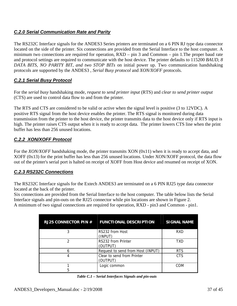### *C.2.0 Serial Communication Rate and Parity*

The RS232C Interface signals for the ANDES3 Series printers are terminated on a 6 PIN RJ type data connector located on the side of the printer. Six connections are provided from the Serial Interface to the host computer. A minimum two connections are required for operation, RXD – pin 3 and Common – pin 1.The proper baud rate and protocol settings are required to communicate with the host device. The printer defaults to 115200 *BAUD, 8 DATA BITS, NO PARITY BIT, and two STOP BITs* on initial power up. Two communication handshaking protocols are supported by the ANDES3 , *Serial Busy protocol* and *XON/XOFF* protocols.

### *C.2.1 Serial Busy Protocol*

For the *serial busy* handshaking mode, *request to send printer input* (RTS) and *clear to send printer output* (CTS) are used to control data flow to and from the printer.

The RTS and CTS are considered to be valid or active when the signal level is positive (3 to 12VDC). A positive RTS signal from the host device enables the printer. The RTS signal is monitored during data transmission from the printer to the host device, the printer transmits data to the host device only if RTS input is high. The printer raises CTS output when it is ready to accept data. The printer lowers CTS line when the print buffer has less than 256 unused locations.

### *C.2.2 XON/XOFF Protocol*

For the *XON/XOFF* handshaking mode, the printer transmits XON (0x11) when it is ready to accept data, and XOFF (0x13) for the print buffer has less than 256 unused locations. Under XON/XOFF protocol, the data flow out of the printer's serial port is halted on receipt of XOFF from Host device and resumed on receipt of XON.

### *C.2.3 RS232C Connections*

The RS232C Interface signals for the Extech ANDES3 are terminated on a 6 PIN RJ25 type data connector located at the back of the printer.

Six connections are provided from the Serial Interface to the host computer. The table below lists the Serial Interface signals and pin-outs on the RJ25 connector while pin locations are shown in Figure 2. A minimum of two signal connections are required for operation, RXD - pin3 and Common - pin1.

| <b>RJ25 CONNECTOR PIN #</b> | <b>FUNCTIONAL DESCRIPTION</b>          | <b>SIGNAL NAME</b> |
|-----------------------------|----------------------------------------|--------------------|
|                             | RS232 from Host<br>(INPUT)             | <b>RXD</b>         |
|                             | RS232 from Printer<br>(OUTPUT)         | TXD                |
|                             | Request to send from Host (INPUT)      | <b>RTS</b>         |
|                             | Clear to send from Printer<br>(OUTPUT) | <b>CTS</b>         |
|                             | Logic common                           | COM                |

|  | Table C.1 – Serial Interfaces Signals and pin-outs |
|--|----------------------------------------------------|
|--|----------------------------------------------------|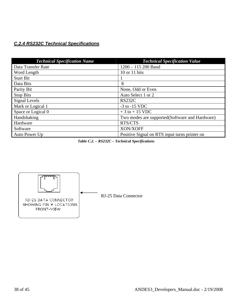# *C.2.4 RS232C Technical Specifications*

| <b>Technical Specification Name</b> | <b>Technical Specification Value</b>           |
|-------------------------------------|------------------------------------------------|
| Data Transfer Rate                  | $1200 - 115200$ Baud                           |
| Word Length                         | 10 or 11 bits                                  |
| <b>Start Bit</b>                    |                                                |
| Data Bits                           | 8                                              |
| Parity Bit                          | None, Odd or Even                              |
| Stop Bits                           | Auto Select 1 or 2                             |
| Signal Levels                       | <b>RS232C</b>                                  |
| Mark or Logical 1                   | $-3$ to $-15$ VDC                              |
| Space or Logical 0                  | $+3$ to $+15$ VDC                              |
| Handshaking                         | Two modes are supported(Software and Hardware) |
| Hardware                            | RTS/CTS                                        |
| Software                            | XON/XOFF                                       |
| Auto Power Up                       | Positive Signal on RTS input turns printer on  |

 *Table C.2. – RS232C – Technical Specifications* 

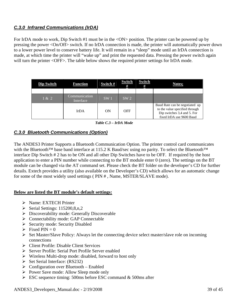### *C.3.0 Infrared Communications (IrDA)*

For IrDA mode to work, Dip Switch #1 must be in the <ON> position. The printer can be powered up by pressing the power <On/Off> switch. If no IrDA connection is made, the printer will automatically power down to a lower power level to conserve battery life. It will remain in a "sleep" mode until an IrDA connection is made, at which time the printer will "wake up" and print the requested data. Pressing the power switch again will turn the printer <OFF>. The table below shows the required printer settings for IrDA mode.

| <b>Dip Switch</b> | <b>Function</b>            | Switch #        | Switch<br>#     | <b>Switch</b><br># | Notes;                                                                                                                      |
|-------------------|----------------------------|-----------------|-----------------|--------------------|-----------------------------------------------------------------------------------------------------------------------------|
|                   |                            |                 |                 |                    |                                                                                                                             |
| 1 & 2             | Communication<br>Interface | SW <sub>1</sub> | SW <sub>2</sub> |                    |                                                                                                                             |
|                   | <b>IrDA</b>                | ON              | OFF             |                    | Baud Rate can be negotiated up<br>to the value specified through<br>Dip switches 3,4 and 5. For<br>fixed IrDA use 9600 Baud |

 *Table C.3 – IrDA Mode* 

### *C.3.0 Bluetooth Communications (Option)*

The ANDES3 Printer Supports a Bluetooth Communication Option. The printer control card communicates with the Bluetooth™ base band interface at 115.2 K Baud/sec using no parity. To select the Bluetooth™ interface Dip Switch # 2 has to be ON and all other Dip Switches have to be OFF. If required by the host application to enter a PIN number while connecting to the BT module enter 0 (zero). The settings on the BT module can be changed via the AT command set. Please check the BT folder on the developer's CD for further details. Extech provides a utility (also available on the Developer's CD) which allows for an automatic change for some of the most widely used settings ( PIN # , Name, MSTER/SLAVE mode).

### **Below are listed the BT module's default settings:**

- ¾ Name: EXTECH Printer
- $\triangleright$  Serial Settings: 115200,8,n,2
- $\triangleright$  Discoverability mode: Generally Discoverable
- ¾ Connectability mode: GAP Connectable
- $\triangleright$  Security mode: Security Disabled
- $\triangleright$  Fixed PIN = 0
- $\triangleright$  Set Master/Slave Policy: Always let the connecting device select master/slave role on incoming connections
- $\triangleright$  Client Profile: Disable Client Services
- ¾ Server Profile: Serial Port Profile Server enabled
- $\triangleright$  Wireless Multi-drop mode: disabled, forward to host only
- $\triangleright$  Set Serial Interface: (RS232)
- $\triangleright$  Configuration over Bluetooth Enabled
- ¾ Power Save mode: Allow Sleep mode only
- $\triangleright$  ESC sequence timing: 500ms before ESC command & 500ms after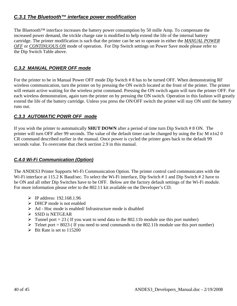# *C.3.1 The Bluetooth™ interface power modification*

The Bluetooth<sup>™</sup> interface increases the battery power consumption by 50 mille Amp. To compensate the increased power demand, the trickle charge rate is modified to help extend the life of the internal battery cartridge. The printer modification is such that the printer can be set to operate in either the *MANUAL POWER OFF* or *CONTINUOUS ON* mode of operation. For Dip Switch settings on Power Save mode please refer to the Dip Switch Table above.

### *C.3.2 MANUAL POWER OFF mode*

For the printer to be in Manual Power OFF mode Dip Switch # 8 has to be turned OFF. When demonstrating RF wireless communication, turn the printer on by pressing the ON switch located at the front of the printer. The printer will remain active waiting for the wireless print command. Pressing the ON switch again will turn the printer OFF. For each wireless demonstration, again turn the printer on by pressing the ON switch. Operation in this fashion will greatly extend the life of the battery cartridge. Unless you press the ON/OFF switch the printer will stay ON until the battery runs out.

### *C.3.3 AUTOMATIC POWR OFF mode*

If you wish the printer to automatically **SHUT DOWN** after a period of time turn Dip Switch # 8 ON. The printer will turn OFF after 99 seconds. The value of the default timer can be changed by using the Esc M n1n2 0 CR command described earlier in the manual. Once power is cycled the printer goes back to the default 99 seconds value. To overcome that check section 2.9 in this manual.

### *C.4.0 Wi-Fi Communication (Option)*

The ANDES3 Printer Supports Wi-Fi Communication Option. The printer control card communicates with the Wi-Fi interface at 115.2 K Baud/sec. To select the Wi-Fi interface, Dip Switch # 1 and Dip Switch # 2 have to be ON and all other Dip Switches have to be OFF. Below are the factory default settings of the Wi-Fi module. For more information please refer to the 802.11 kit available on the Developer's CD.

- ¾ IP address: 192.168.1.96
- $\triangleright$  DHCP mode is not enabled
- $\triangleright$  Ad Hoc mode is enabled/ Infrastructure mode is disabled
- $\triangleright$  SSID is NETGEAR
- $\triangleright$  Tunnel port = 23 ( If you want to send data to the 802.11b module use this port number)
- $\triangleright$  Telnet port = 8023 (If you need to send commands to the 802.11b module use this port number)
- $\triangleright$  Bit Rate is set to 115200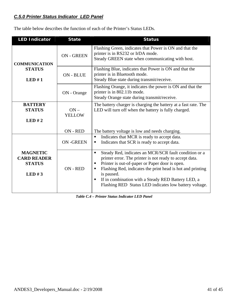### *C.5.0 Printer Status Indicator LED Panel*

The table below describes the function of each of the Printer's Status LEDs.

| <b>LED Indicator</b>                                            | <b>State</b>            | <b>Status</b>                                                                                                                                                                                                                                                                                                                                                                      |  |
|-----------------------------------------------------------------|-------------------------|------------------------------------------------------------------------------------------------------------------------------------------------------------------------------------------------------------------------------------------------------------------------------------------------------------------------------------------------------------------------------------|--|
| <b>COMMUNICATION</b>                                            | <b>ON - GREEN</b>       | Flashing Green, indicates that Power is ON and that the<br>printer is in RS232 or IrDA mode.<br>Steady GREEN state when communicating with host.                                                                                                                                                                                                                                   |  |
| <b>STATUS</b><br>LED#1                                          | <b>ON - BLUE</b>        | Flashing Blue, indicates that Power is ON and that the<br>printer is in Bluetooth mode.<br>Steady Blue state during transmit/receive.                                                                                                                                                                                                                                              |  |
|                                                                 | ON - Orange             | Flashing Orange, it indicates the power is ON and that the<br>printer is in 802.11b mode.<br>Steady Orange state during transmit/receive.                                                                                                                                                                                                                                          |  |
| <b>BATTERY</b><br><b>STATUS</b><br>LED#2                        | $ON -$<br><b>YELLOW</b> | The battery charger is charging the battery at a fast rate. The<br>LED will turn off when the battery is fully charged.                                                                                                                                                                                                                                                            |  |
|                                                                 | ON - RED                | The battery voltage is low and needs charging.                                                                                                                                                                                                                                                                                                                                     |  |
|                                                                 | <b>ON-GREEN</b>         | Indicates that MCR is ready to accept data.<br>٠<br>Indicates that SCR is ready to accept data.<br>п                                                                                                                                                                                                                                                                               |  |
| <b>MAGNETIC</b><br><b>CARD READER</b><br><b>STATUS</b><br>LED#3 | ON - RED                | Steady Red, indicates an MCR/SCR fault condition or a<br>п<br>printer error. The printer is not ready to accept data.<br>Printer is out-of-paper or Paper door is open.<br>٠<br>Flashing Red, indicates the print head is hot and printing<br>٠<br>is paused.<br>If in combination with a Steady RED Battery LED, a<br>٠<br>Flashing RED Status LED indicates low battery voltage. |  |

 *Table C.4 – Printer Status Indicator LED Panel*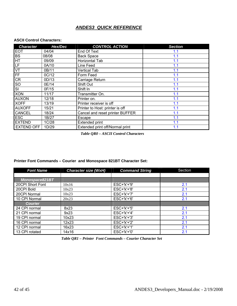### *ANDES3 QUICK REFERENCE*

### **ASCII Control Characters:**

| <b>Character</b>  | Hex/Dec | <b>CONTROL ACTION</b>           | <b>Section</b> |
|-------------------|---------|---------------------------------|----------------|
| <b>EOT</b>        | 04/04   | End Of Text                     | 1.1            |
| <b>BS</b>         | 08/08   | <b>Back Space</b>               | 1.1            |
| HT                | 09/09   | Horizontal Tab                  | 1.1            |
| LF                | 0A/10   | Line Feed                       | 1.1            |
| VT                | 0B/11   | <b>Vertical Tab</b>             | 1.1            |
| FF                | 0C/12   | Form Feed                       | 1.1            |
| <b>CR</b>         | 0D/13   | Carriage Return                 | 1.1            |
| SO                | 0E/14   | Shift Out                       | 1.1            |
| SI                | 0F/15   | Shift In                        | 1.1            |
| <b>XON</b>        | 11/17   | Transmitter On.                 | 1.1            |
| <b>AUXON</b>      | 12/18   | Printer on.                     | 1.1            |
| <b>XOFF</b>       | 13/19   | Printer receiver is off         | 1.1            |
| <b>AUXOFF</b>     | 15/21   | Printer to Host: printer is off | 1.1            |
| <b>CANCEL</b>     | 18/24   | Cancel and reset printer BUFFER | 1.1            |
| <b>ESC</b>        | 1B/27   | Escape                          | 1.1            |
| <b>EXTEND</b>     | 1C/28   | <b>Extended print</b>           | 1.1            |
| <b>EXTEND OFF</b> | 1D/29   | Extended print off/Normal print | 1.1            |

 *Table QR0 – ASCII Control Characters* 

**Printer Font Commands – Courier and Monospace 821BT Character Set:** 

| <b>Font Name</b> | <b>Character size (WxH)</b> | <b>Command String</b> | Section |
|------------------|-----------------------------|-----------------------|---------|
|                  |                             |                       |         |
| Monospace821BT   |                             |                       |         |
| 20CPI Short Font | 10x16                       | ESC+'k'+'9'           | 2.1     |
| 20CPI Bold       | 10x23                       | ESC+'k'+'8'           | 2.1     |
| 20CPI Normal     | 10x23                       | ESC+'k'+'7'           | 2.1     |
| 10 CPI Normal    | 20x23                       | $ESC+'k'+'6'$         | 2.1     |
| <b>Courier</b>   |                             |                       |         |
| 24 CPI normal    | 8x23                        | $ESC+'k'+'5'$         | 2.1     |
| 21 CPI normal    | 9x23                        | $ESC+'k'+'4'$         | 2.1     |
| 19 CPI normal    | 10x23                       | $ESC+'k'+'3'$         | 2.1     |
| 16 CPI normal    | 12x23                       | $ESC+'k'+'2'$         | 2.1     |
| 12 CPI normal    | 16x23                       | $ESC+'k'+'1'$         | 2.1     |
| 13 CPI rotated   | 14x16                       | $ESC+'k'+'0'$         | 2.1     |

 *Table QR1 – Printer Font Commands – Courier Character Set*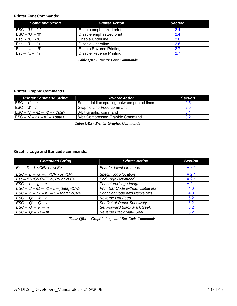### **Printer Font Commands:**

| <b>Command String</b>               | <b>Printer Action</b>          | <b>Section</b> |
|-------------------------------------|--------------------------------|----------------|
| $\mathsf{ESC} - \mathsf{`U' - '1'}$ | Enable emphasized print        | 2.4            |
| $ESC - 'U' - '0'$                   | Disable emphasized print       | 24             |
| Esc - 'U' - 'U'                     | <b>Enable Underline</b>        | 2.6            |
| Esc - 'U' $-$ 'u'                   | Disable Underline              | 2.6            |
| $\mathsf{Esc} - \mathsf{`U' - 'R'}$ | <b>Enable Reverse Printing</b> | 2.7            |
| $Esc - 'U' - 'n'$                   | Disable Reverse Printing       | 27             |

 *Table QR2 - Printer Font Commands* 

### **Printer Graphic Commands:**

| <b>Printer Command String</b>                        | <b>Printer Action</b>                          | <b>Section</b> |
|------------------------------------------------------|------------------------------------------------|----------------|
| $\mathsf{ESC} - \mathsf{a}' - n$                     | Select dot line spacing between printed lines. | 2.5            |
| $ESC - 'J' - n$                                      | Graphic Line Feed command                      | 2.5            |
| $\overline{ESC} - \sqrt{v} - n1 - n2 - \text{cdata}$ | 8-bit Graphic command                          | 3.1            |
| $\textsf{ESC} - \forall -n1 - n2 - < \textsf{data}$  | 8-bit Compressed Graphic Command               | 3.2            |

 *Table QR3 - Printer Graphic Commands* 

### **Graphic Logo and Bar code commands:**

| <b>Command String</b>                                                          | <b>Printer Action</b>               | <b>Section</b> |  |
|--------------------------------------------------------------------------------|-------------------------------------|----------------|--|
| $Esc - D - L < CR > or < LF >$                                                 | Enable download mode                | A.2.1          |  |
| $\textsf{LSC} - \textsf{L}' - \textsf{G}' - n < \textsf{CR}$ or $\textsf{LFS}$ | Specify logo location               | A.2.1          |  |
| $Esc - 'L'$ - 'G'- 0xFF <cr> or <lf></lf></cr>                                 | End Logo Download                   | A.2.1          |  |
| $\text{ESC} - L' - 'q' - n$                                                    | Print stored logo image             | A.2.1          |  |
| $\text{LSC} - 'z' - n1 - n2 - L - \text{[data]} < \text{CR}$                   | Print Bar Code without visible text | 4.0            |  |
| $\text{LSC} - \text{Z}' - n1 - n2 - L - \text{[data]} < \text{CR}$             | Print Bar Code with visible text    | 4.0            |  |
| $\textsf{ESC} - {^tQ'} - {^tJ'} - n$                                           | Reverse Dot Feed                    | 6.2            |  |
| $\textsf{ESC} - \textsf{Q}' - \textsf{Q}' - n$                                 | Set Out of Paper Sensitivity        | 6.2            |  |
| $\textsf{ESC} - 'Q' - 'F' - m$<br>Set Forward Black Mark Seek                  |                                     | 6.2            |  |
| $\textsf{LSC} - 'Q' - 'B' - m$                                                 | <b>Reverse Black Mark Seek</b>      |                |  |

 *Table QR4 – Graphic Logo and Bar Code Commands*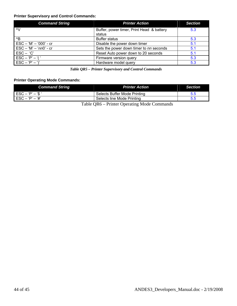### **Printer Supervisory and Control Commands:**

| <b>Command String</b>           | <b>Printer Action</b>                               | <b>Section</b> |
|---------------------------------|-----------------------------------------------------|----------------|
| $\sim$                          | Buffer, power timer, Print Head & battery<br>status | 5.3            |
| $^{\wedge}B$                    | <b>Buffer status</b>                                | 5.3            |
| ESC - 'M' - '000' - cr          | Disable the power down timer                        | 5.1            |
| $\text{ESC} - 'M' - 'nn0' - cr$ | Sets the power down timer to nn seconds             | 5.1            |
| $\mathsf{ESC} - 'C'$            | Reset Auto power down to 20 seconds                 | 5.1            |
| $ESC - 'P' - '('$               | Firmware version query                              | 5.3            |
| $ESC - 'P' - '$                 | Hardware model query                                |                |

 *Table QR5 – Printer Supervisory and Control Commands* 

### **Printer Operating Mode Commands:**

| <b>Command String</b>                      | <b>Printer Action</b>                     |  |
|--------------------------------------------|-------------------------------------------|--|
| l ESC – 'P' – '\$ '                        | Selects Buffer Mode Printing              |  |
| $\textsf{ESC} - \textsf{P}' - \textsf{H}'$ | Selects line Mode Printing                |  |
|                                            | Toble OD6 Drinter Operating Mode Commends |  |

Table QR6 – Printer Operating Mode Commands